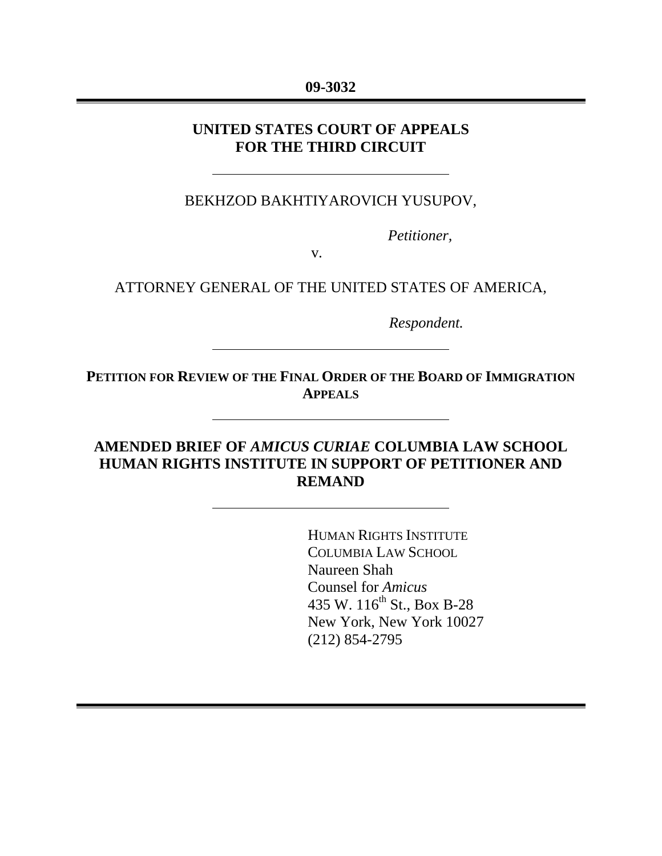#### **09-3032**

### **UNITED STATES COURT OF APPEALS FOR THE THIRD CIRCUIT**

### BEKHZOD BAKHTIYAROVICH YUSUPOV,

 *Petitioner,* 

v*.* 

#### ATTORNEY GENERAL OF THE UNITED STATES OF AMERICA,

*Respondent.* 

**PETITION FOR REVIEW OF THE FINAL ORDER OF THE BOARD OF IMMIGRATION APPEALS**

## **AMENDED BRIEF OF** *AMICUS CURIAE* **COLUMBIA LAW SCHOOL HUMAN RIGHTS INSTITUTE IN SUPPORT OF PETITIONER AND REMAND**

HUMAN RIGHTS INSTITUTE COLUMBIA LAW SCHOOL Naureen Shah Counsel for *Amicus* 435 W. 116<sup>th</sup> St., Box B-28 New York, New York 10027 (212) 854-2795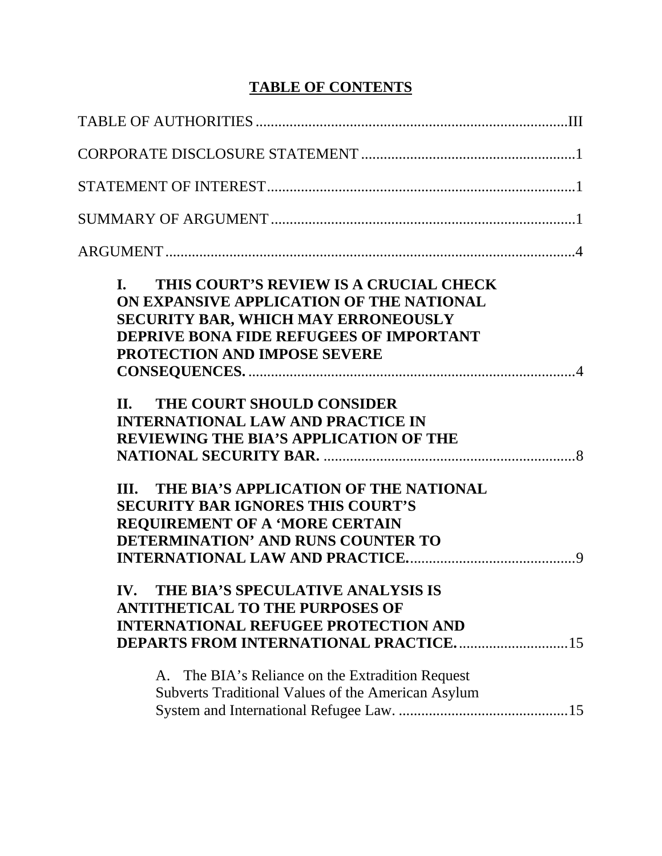# **TABLE OF CONTENTS**

| THIS COURT'S REVIEW IS A CRUCIAL CHECK<br>$\mathbf{L}$<br>ON EXPANSIVE APPLICATION OF THE NATIONAL<br><b>SECURITY BAR, WHICH MAY ERRONEOUSLY</b><br><b>DEPRIVE BONA FIDE REFUGEES OF IMPORTANT</b><br><b>PROTECTION AND IMPOSE SEVERE</b><br>THE COURT SHOULD CONSIDER<br>II.<br><b>INTERNATIONAL LAW AND PRACTICE IN</b><br><b>REVIEWING THE BIA'S APPLICATION OF THE</b><br>III. THE BIA'S APPLICATION OF THE NATIONAL<br><b>SECURITY BAR IGNORES THIS COURT'S</b> |  |
|----------------------------------------------------------------------------------------------------------------------------------------------------------------------------------------------------------------------------------------------------------------------------------------------------------------------------------------------------------------------------------------------------------------------------------------------------------------------|--|
| <b>REQUIREMENT OF A 'MORE CERTAIN</b><br>DETERMINATION' AND RUNS COUNTER TO                                                                                                                                                                                                                                                                                                                                                                                          |  |
| THE BIA'S SPECULATIVE ANALYSIS IS<br>IV.<br><b>ANTITHETICAL TO THE PURPOSES OF</b><br><b>INTERNATIONAL REFUGEE PROTECTION AND</b><br><b>DEPARTS FROM INTERNATIONAL PRACTICE15</b>                                                                                                                                                                                                                                                                                    |  |
| A. The BIA's Reliance on the Extradition Request<br>Subverts Traditional Values of the American Asylum                                                                                                                                                                                                                                                                                                                                                               |  |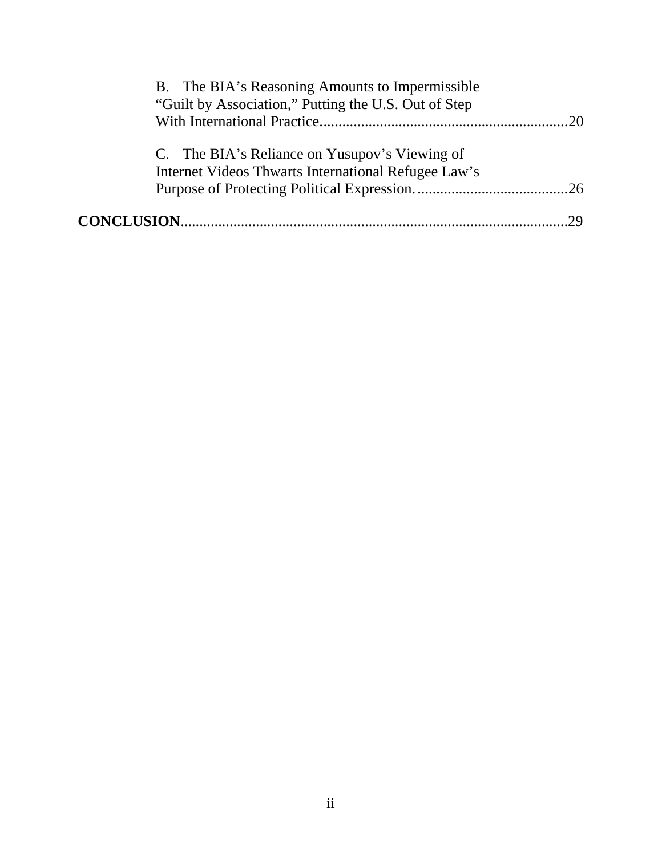| B. The BIA's Reasoning Amounts to Impermissible                                                      |    |
|------------------------------------------------------------------------------------------------------|----|
| "Guilt by Association," Putting the U.S. Out of Step                                                 |    |
|                                                                                                      |    |
| C. The BIA's Reliance on Yusupov's Viewing of<br>Internet Videos Thwarts International Refugee Law's |    |
|                                                                                                      |    |
|                                                                                                      | 29 |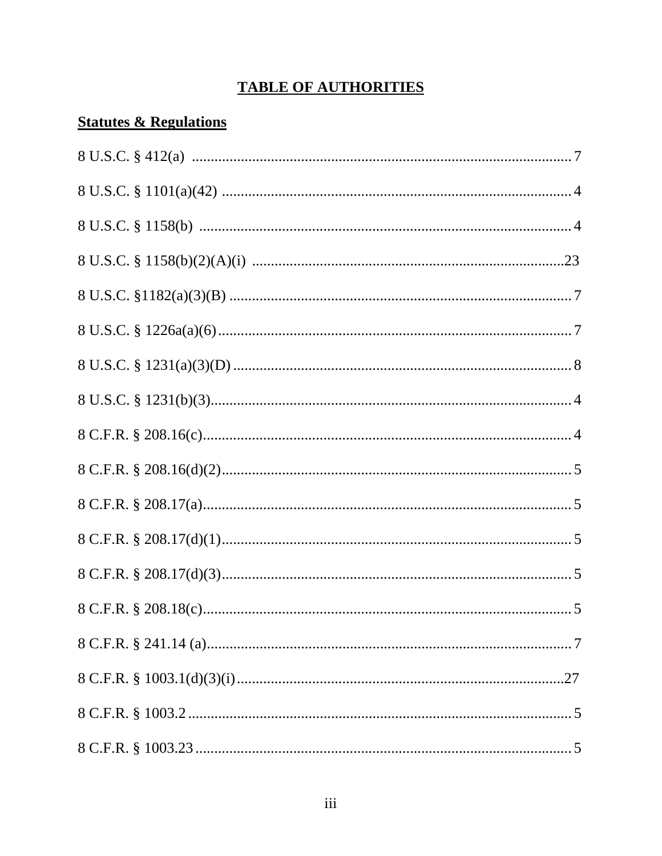# **TABLE OF AUTHORITIES**

# <span id="page-3-0"></span>**Statutes & Regulations**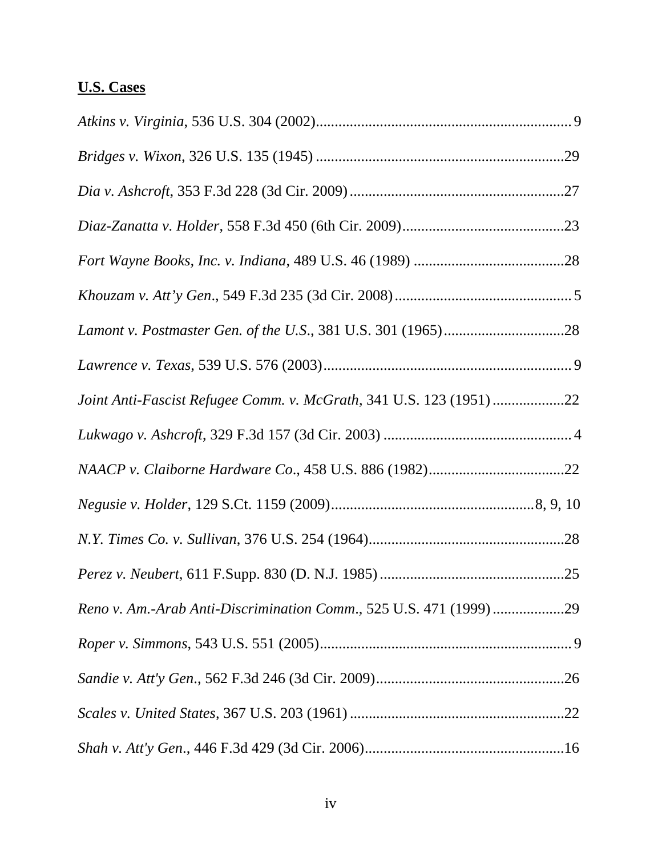# **U.S. Cases**

| Joint Anti-Fascist Refugee Comm. v. McGrath, 341 U.S. 123 (1951) 22 |
|---------------------------------------------------------------------|
|                                                                     |
|                                                                     |
|                                                                     |
|                                                                     |
|                                                                     |
| Reno v. Am.-Arab Anti-Discrimination Comm., 525 U.S. 471 (1999) 29  |
|                                                                     |
|                                                                     |
|                                                                     |
|                                                                     |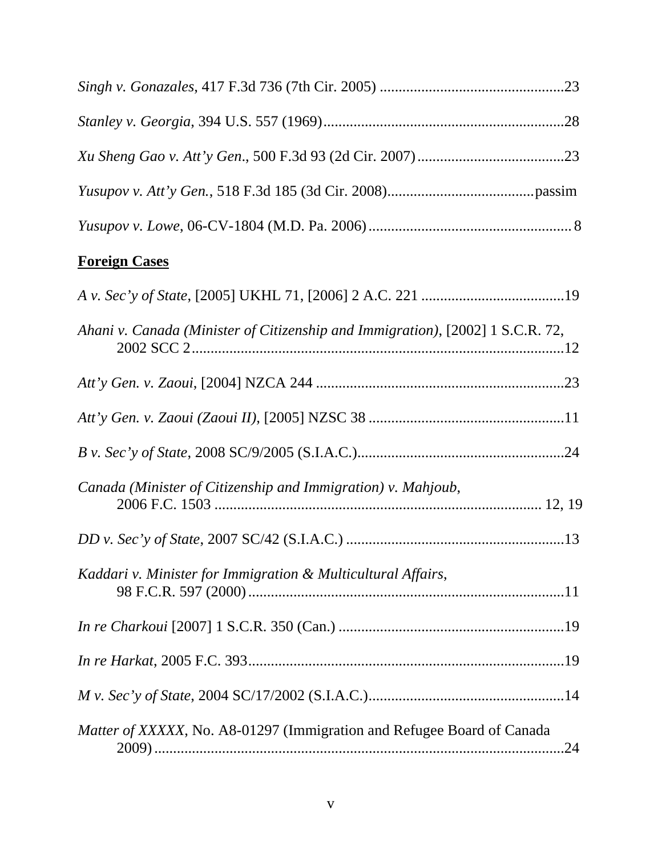| <b>Foreign Cases</b>                                                           |
|--------------------------------------------------------------------------------|
|                                                                                |
| Ahani v. Canada (Minister of Citizenship and Immigration), [2002] 1 S.C.R. 72, |
|                                                                                |
|                                                                                |
|                                                                                |
| Canada (Minister of Citizenship and Immigration) v. Mahjoub,                   |
|                                                                                |
| Kaddari v. Minister for Immigration & Multicultural Affairs,                   |
|                                                                                |
|                                                                                |
|                                                                                |
| Matter of XXXXX, No. A8-01297 (Immigration and Refugee Board of Canada         |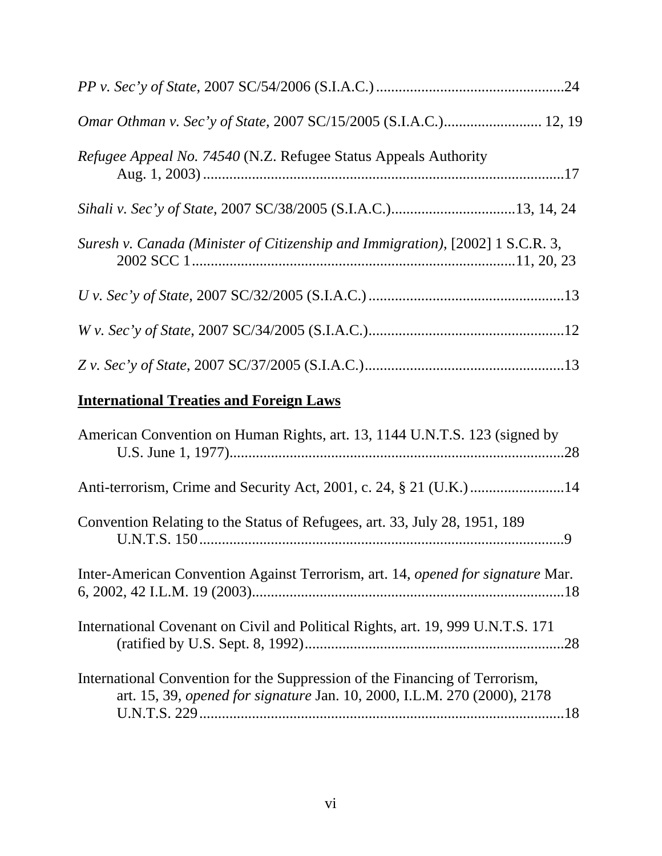| <i>Refugee Appeal No. 74540</i> (N.Z. Refugee Status Appeals Authority         |
|--------------------------------------------------------------------------------|
|                                                                                |
| Suresh v. Canada (Minister of Citizenship and Immigration), [2002] 1 S.C.R. 3, |
|                                                                                |
|                                                                                |
|                                                                                |
| <b>International Treaties and Foreign Laws</b>                                 |
| American Convention on Human Rights, art. 13, 1144 U.N.T.S. 123 (signed by     |

|--|--|--|--|--|--|--|--|--|--|

| Convention Relating to the Status of Refugees, art. 33, July 28, 1951, 189 |  |
|----------------------------------------------------------------------------|--|
|                                                                            |  |

Inter-American Convention Against Terrorism, art. 14, *opened for signature* Mar. 6, 2002, 42 I.L.M. 19 (2003)...................................................................................18

International Covenant on Civil and Political Rights, art. 19, 999 U.N.T.S. 171 (ratified by U.S. Sept. 8, 1992).....................................................................28

International Convention for the Suppression of the Financing of Terrorism, art. 15, 39, *opened for signature* Jan. 10, 2000, I.L.M. 270 (2000), 2178 U.N.T.S. 229.................................................................................................18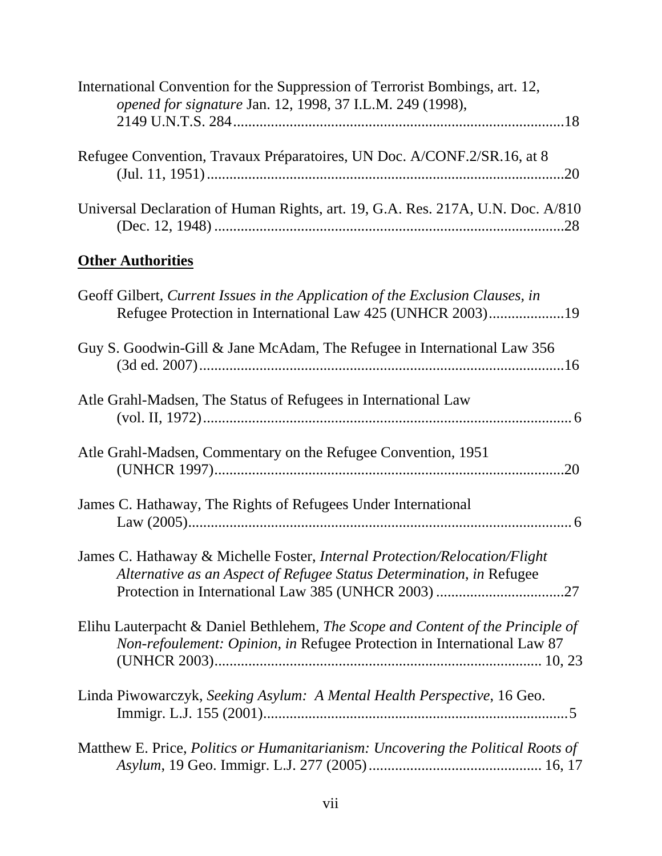| International Convention for the Suppression of Terrorist Bombings, art. 12,<br>opened for signature Jan. 12, 1998, 37 I.L.M. 249 (1998),                  |
|------------------------------------------------------------------------------------------------------------------------------------------------------------|
| Refugee Convention, Travaux Préparatoires, UN Doc. A/CONF.2/SR.16, at 8                                                                                    |
| Universal Declaration of Human Rights, art. 19, G.A. Res. 217A, U.N. Doc. A/810                                                                            |
| <b>Other Authorities</b>                                                                                                                                   |
| Geoff Gilbert, Current Issues in the Application of the Exclusion Clauses, in<br>Refugee Protection in International Law 425 (UNHCR 2003)19                |
| Guy S. Goodwin-Gill & Jane McAdam, The Refugee in International Law 356                                                                                    |
| Atle Grahl-Madsen, The Status of Refugees in International Law                                                                                             |
| Atle Grahl-Madsen, Commentary on the Refugee Convention, 1951                                                                                              |
| James C. Hathaway, The Rights of Refugees Under International                                                                                              |
| James C. Hathaway & Michelle Foster, Internal Protection/Relocation/Flight<br>Alternative as an Aspect of Refugee Status Determination, in Refugee         |
| Elihu Lauterpacht & Daniel Bethlehem, The Scope and Content of the Principle of<br>Non-refoulement: Opinion, in Refugee Protection in International Law 87 |
| Linda Piwowarczyk, Seeking Asylum: A Mental Health Perspective, 16 Geo.                                                                                    |
| Matthew E. Price, Politics or Humanitarianism: Uncovering the Political Roots of                                                                           |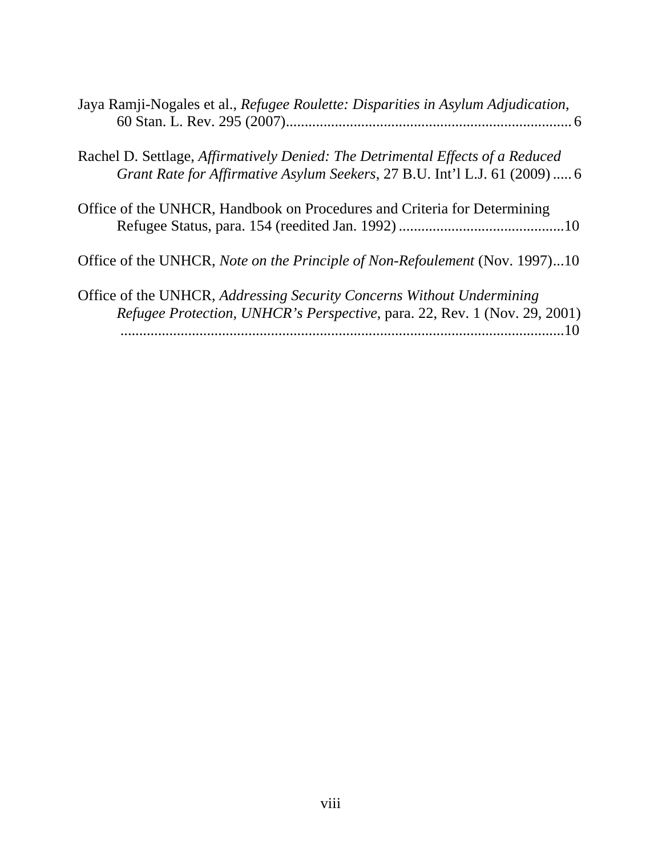| Jaya Ramji-Nogales et al., Refugee Roulette: Disparities in Asylum Adjudication,                                                                             |
|--------------------------------------------------------------------------------------------------------------------------------------------------------------|
| Rachel D. Settlage, Affirmatively Denied: The Detrimental Effects of a Reduced<br>Grant Rate for Affirmative Asylum Seekers, 27 B.U. Int'l L.J. 61 (2009)  6 |
| Office of the UNHCR, Handbook on Procedures and Criteria for Determining                                                                                     |
| Office of the UNHCR, Note on the Principle of Non-Refoulement (Nov. 1997)10                                                                                  |
| Office of the UNHCR, Addressing Security Concerns Without Undermining<br>Refugee Protection, UNHCR's Perspective, para. 22, Rev. 1 (Nov. 29, 2001)<br>10     |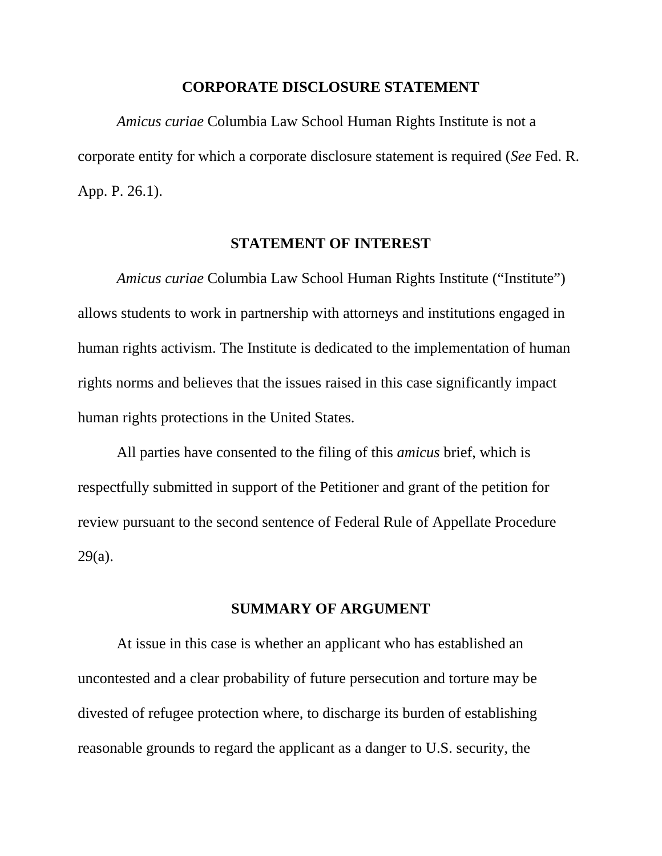#### **CORPORATE DISCLOSURE STATEMENT**

<span id="page-9-0"></span>*Amicus curiae* Columbia Law School Human Rights Institute is not a corporate entity for which a corporate disclosure statement is required (*See* Fed. R. App. P. 26.1).

#### **STATEMENT OF INTEREST**

<span id="page-9-1"></span>*Amicus curiae* Columbia Law School Human Rights Institute ("Institute") allows students to work in partnership with attorneys and institutions engaged in human rights activism. The Institute is dedicated to the implementation of human rights norms and believes that the issues raised in this case significantly impact human rights protections in the United States.

All parties have consented to the filing of this *amicus* brief, which is respectfully submitted in support of the Petitioner and grant of the petition for review pursuant to the second sentence of Federal Rule of Appellate Procedure 29(a).

#### **SUMMARY OF ARGUMENT**

<span id="page-9-2"></span>At issue in this case is whether an applicant who has established an uncontested and a clear probability of future persecution and torture may be divested of refugee protection where, to discharge its burden of establishing reasonable grounds to regard the applicant as a danger to U.S. security, the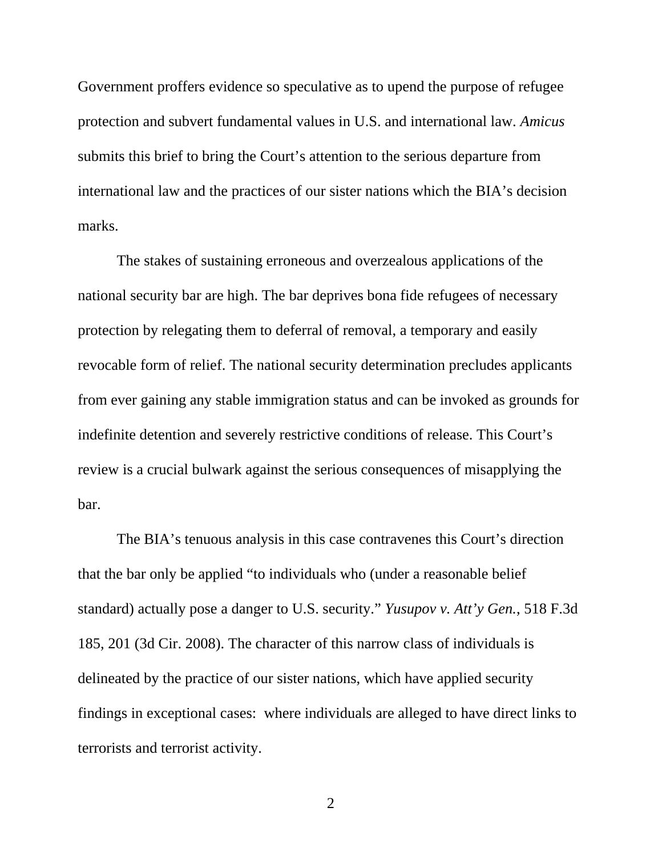Government proffers evidence so speculative as to upend the purpose of refugee protection and subvert fundamental values in U.S. and international law. *Amicus* submits this brief to bring the Court's attention to the serious departure from international law and the practices of our sister nations which the BIA's decision marks.

The stakes of sustaining erroneous and overzealous applications of the national security bar are high. The bar deprives bona fide refugees of necessary protection by relegating them to deferral of removal, a temporary and easily revocable form of relief. The national security determination precludes applicants from ever gaining any stable immigration status and can be invoked as grounds for indefinite detention and severely restrictive conditions of release. This Court's review is a crucial bulwark against the serious consequences of misapplying the bar.

The BIA's tenuous analysis in this case contravenes this Court's direction that the bar only be applied "to individuals who (under a reasonable belief standard) actually pose a danger to U.S. security." *Yusupov v. Att'y Gen.*, 518 F.3d 185, 201 (3d Cir. 2008). The character of this narrow class of individuals is delineated by the practice of our sister nations, which have applied security findings in exceptional cases: where individuals are alleged to have direct links to terrorists and terrorist activity.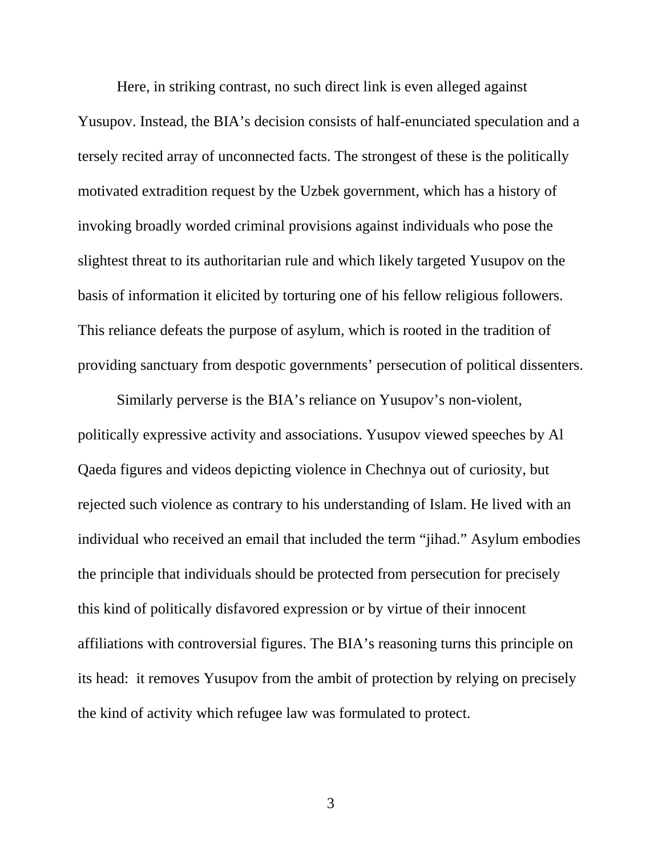Here, in striking contrast, no such direct link is even alleged against Yusupov. Instead, the BIA's decision consists of half-enunciated speculation and a tersely recited array of unconnected facts. The strongest of these is the politically motivated extradition request by the Uzbek government, which has a history of invoking broadly worded criminal provisions against individuals who pose the slightest threat to its authoritarian rule and which likely targeted Yusupov on the basis of information it elicited by torturing one of his fellow religious followers. This reliance defeats the purpose of asylum, which is rooted in the tradition of providing sanctuary from despotic governments' persecution of political dissenters.

Similarly perverse is the BIA's reliance on Yusupov's non-violent, politically expressive activity and associations. Yusupov viewed speeches by Al Qaeda figures and videos depicting violence in Chechnya out of curiosity, but rejected such violence as contrary to his understanding of Islam. He lived with an individual who received an email that included the term "jihad." Asylum embodies the principle that individuals should be protected from persecution for precisely this kind of politically disfavored expression or by virtue of their innocent affiliations with controversial figures. The BIA's reasoning turns this principle on its head: it removes Yusupov from the ambit of protection by relying on precisely the kind of activity which refugee law was formulated to protect.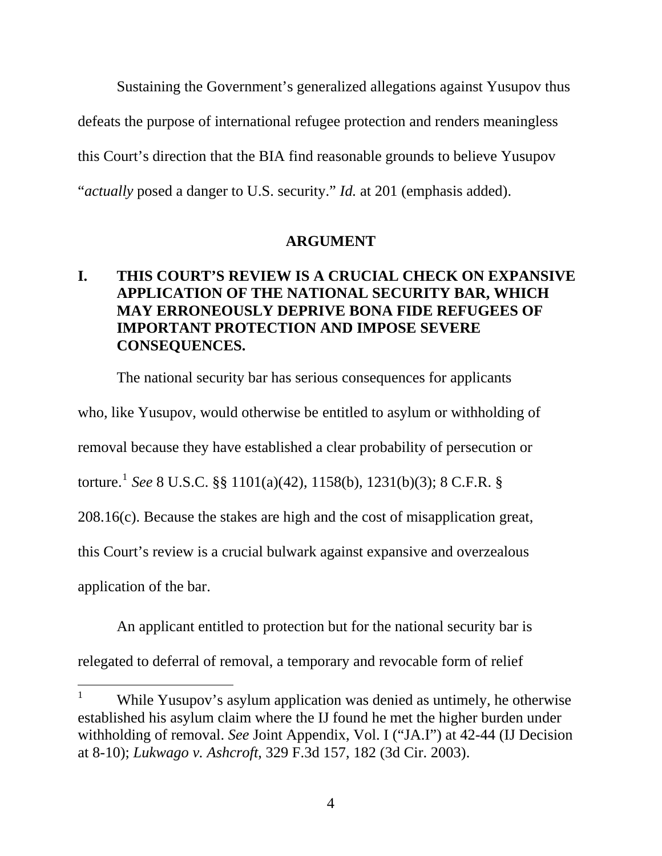Sustaining the Government's generalized allegations against Yusupov thus defeats the purpose of international refugee protection and renders meaningless this Court's direction that the BIA find reasonable grounds to believe Yusupov "*actually* posed a danger to U.S. security." *Id.* at 201 (emphasis added).

### **ARGUMENT**

## <span id="page-12-1"></span><span id="page-12-0"></span>**I. THIS COURT'S REVIEW IS A CRUCIAL CHECK ON EXPANSIVE APPLICATION OF THE NATIONAL SECURITY BAR, WHICH MAY ERRONEOUSLY DEPRIVE BONA FIDE REFUGEES OF IMPORTANT PROTECTION AND IMPOSE SEVERE CONSEQUENCES.**

The national security bar has serious consequences for applicants who, like Yusupov, would otherwise be entitled to asylum or withholding of removal because they have established a clear probability of persecution or torture.[1](#page-12-2) *See* 8 U.S.C. §§ 1101(a)(42), 1158(b), 1231(b)(3); 8 C.F.R. § 208.16(c). Because the stakes are high and the cost of misapplication great, this Court's review is a crucial bulwark against expansive and overzealous application of the bar.

An applicant entitled to protection but for the national security bar is

relegated to deferral of removal, a temporary and revocable form of relief

<span id="page-12-2"></span><sup>1</sup> While Yusupov's asylum application was denied as untimely, he otherwise established his asylum claim where the IJ found he met the higher burden under withholding of removal. *See* Joint Appendix, Vol. I ("JA.I") at 42-44 (IJ Decision at 8-10); *Lukwago v. Ashcroft*, 329 F.3d 157, 182 (3d Cir. 2003).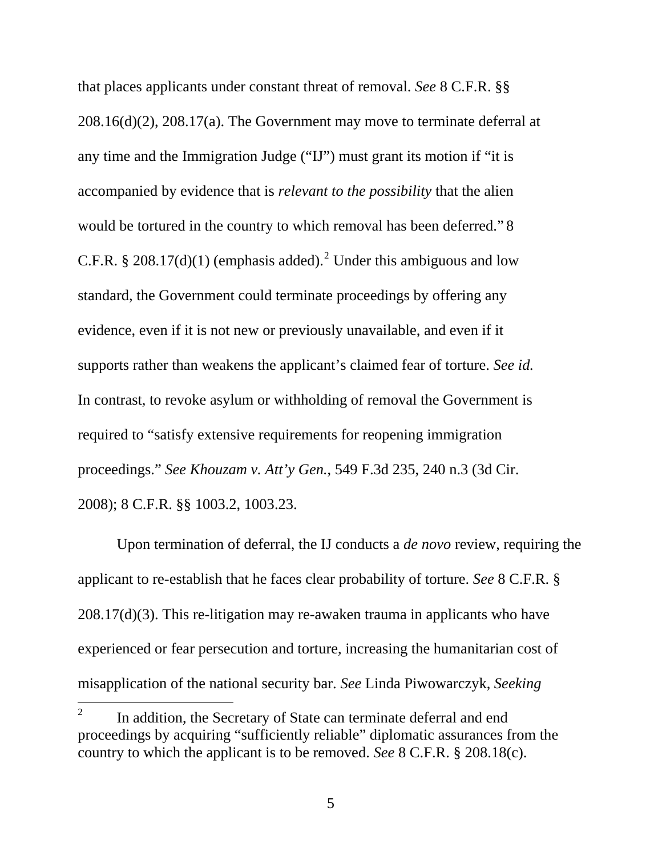that places applicants under constant threat of removal. *See* 8 C.F.R. §§ 208.16(d)(2), 208.17(a). The Government may move to terminate deferral at any time and the Immigration Judge ("IJ") must grant its motion if "it is accompanied by evidence that is *relevant to the possibility* that the alien would be tortured in the country to which removal has been deferred." 8 C.F.R. § [2](#page-13-0)08.17(d)(1) (emphasis added).<sup>2</sup> Under this ambiguous and low standard, the Government could terminate proceedings by offering any evidence, even if it is not new or previously unavailable, and even if it supports rather than weakens the applicant's claimed fear of torture. *See id.*  In contrast, to revoke asylum or withholding of removal the Government is required to "satisfy extensive requirements for reopening immigration proceedings." *See Khouzam v. Att'y Gen.*, 549 F.3d 235, 240 n.3 (3d Cir. 2008); 8 C.F.R. §§ 1003.2, 1003.23.

Upon termination of deferral, the IJ conducts a *de novo* review, requiring the applicant to re-establish that he faces clear probability of torture. *See* 8 C.F.R. § 208.17(d)(3). This re-litigation may re-awaken trauma in applicants who have experienced or fear persecution and torture, increasing the humanitarian cost of misapplication of the national security bar. *See* Linda Piwowarczyk, *Seeking* 

<span id="page-13-0"></span><sup>2</sup> In addition, the Secretary of State can terminate deferral and end proceedings by acquiring "sufficiently reliable" diplomatic assurances from the country to which the applicant is to be removed. *See* 8 C.F.R. § 208.18(c).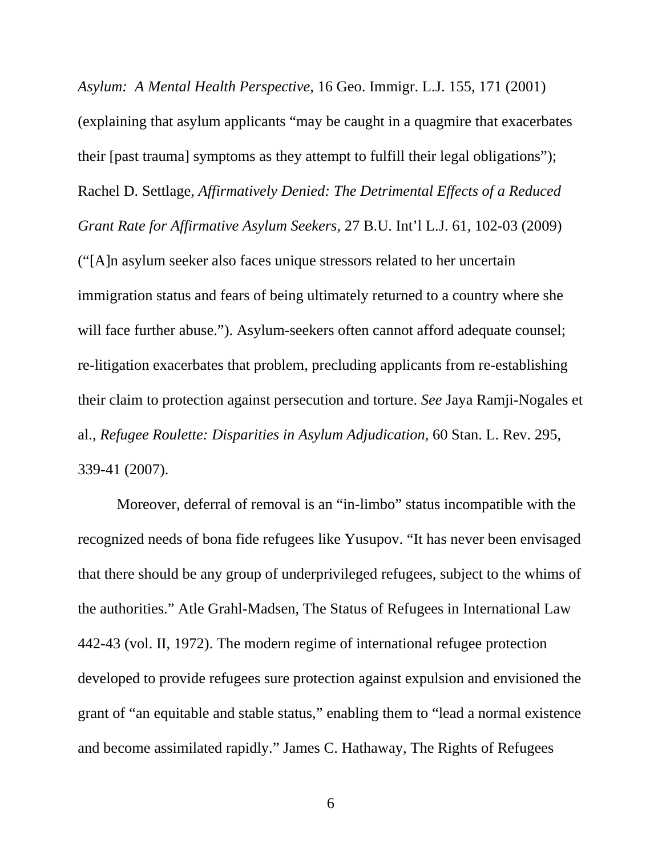*Asylum: A Mental Health Perspective*, 16 Geo. Immigr. L.J. 155, 171 (2001) (explaining that asylum applicants "may be caught in a quagmire that exacerbates their [past trauma] symptoms as they attempt to fulfill their legal obligations"); Rachel D. Settlage, *Affirmatively Denied: The Detrimental Effects of a Reduced Grant Rate for Affirmative Asylum Seekers*, 27 B.U. Int'l L.J. 61, 102-03 (2009) ("[A]n asylum seeker also faces unique stressors related to her uncertain immigration status and fears of being ultimately returned to a country where she will face further abuse."). Asylum-seekers often cannot afford adequate counsel; re-litigation exacerbates that problem, precluding applicants from re-establishing their claim to protection against persecution and torture. *See* Jaya Ramji-Nogales et al., *Refugee Roulette: Disparities in Asylum Adjudication*, 60 Stan. L. Rev. 295, 339-41 (2007).

Moreover, deferral of removal is an "in-limbo" status incompatible with the recognized needs of bona fide refugees like Yusupov. "It has never been envisaged that there should be any group of underprivileged refugees, subject to the whims of the authorities." Atle Grahl-Madsen, The Status of Refugees in International Law 442-43 (vol. II, 1972). The modern regime of international refugee protection developed to provide refugees sure protection against expulsion and envisioned the grant of "an equitable and stable status," enabling them to "lead a normal existence and become assimilated rapidly." James C. Hathaway, The Rights of Refugees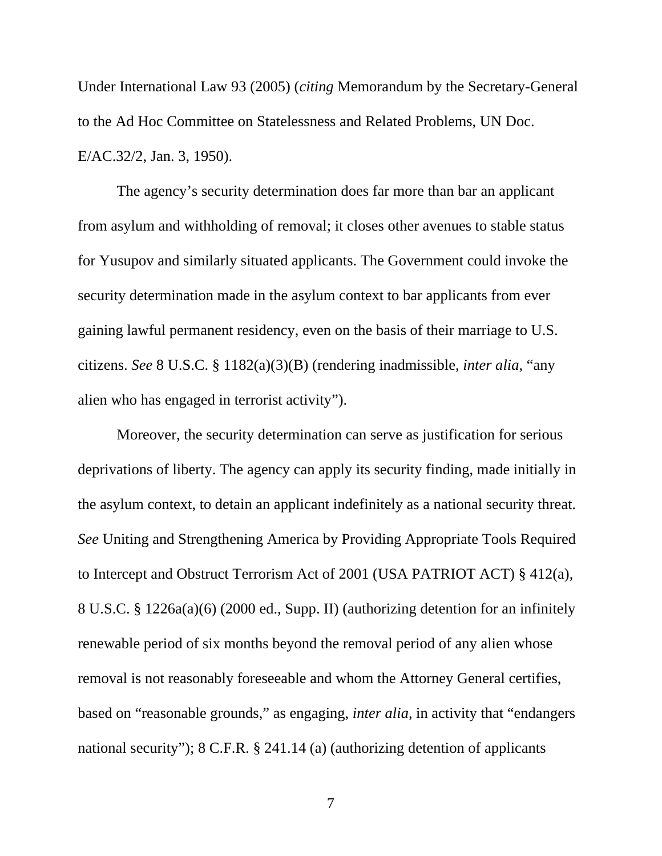Under International Law 93 (2005) (*citing* Memorandum by the Secretary-General to the Ad Hoc Committee on Statelessness and Related Problems, UN Doc. E/AC.32/2, Jan. 3, 1950).

The agency's security determination does far more than bar an applicant from asylum and withholding of removal; it closes other avenues to stable status for Yusupov and similarly situated applicants. The Government could invoke the security determination made in the asylum context to bar applicants from ever gaining lawful permanent residency, even on the basis of their marriage to U.S. citizens. *See* 8 U.S.C. § 1182(a)(3)(B) (rendering inadmissible, *inter alia*, "any alien who has engaged in terrorist activity").

Moreover, the security determination can serve as justification for serious deprivations of liberty. The agency can apply its security finding, made initially in the asylum context, to detain an applicant indefinitely as a national security threat. *See* Uniting and Strengthening America by Providing Appropriate Tools Required to Intercept and Obstruct Terrorism Act of 2001 (USA PATRIOT ACT) § 412(a), 8 U.S.C. § 1226a(a)(6) (2000 ed., Supp. II) (authorizing detention for an infinitely renewable period of six months beyond the removal period of any alien whose removal is not reasonably foreseeable and whom the Attorney General certifies, based on "reasonable grounds," as engaging, *inter alia*, in activity that "endangers national security"); 8 C.F.R. § 241.14 (a) (authorizing detention of applicants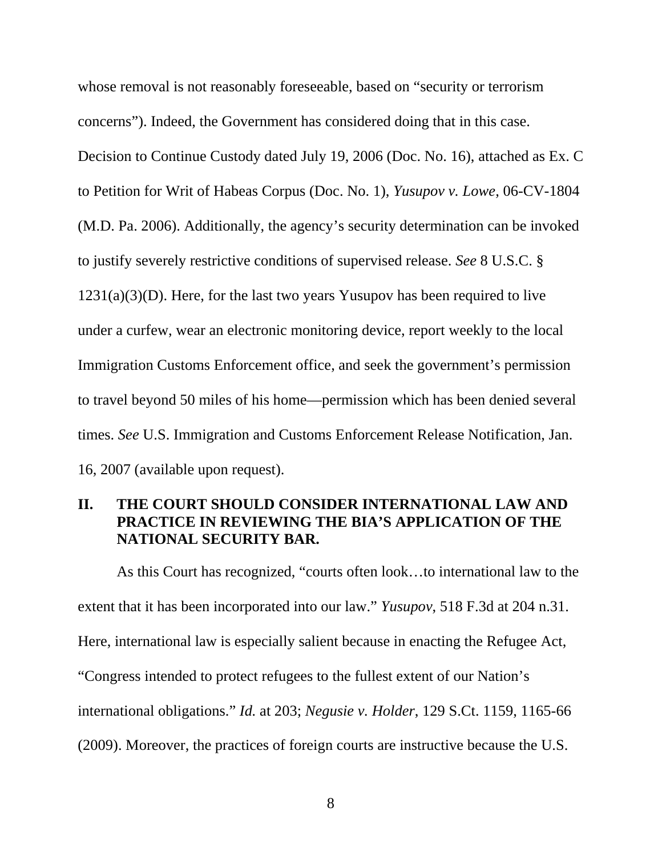whose removal is not reasonably foreseeable, based on "security or terrorism concerns"). Indeed, the Government has considered doing that in this case. Decision to Continue Custody dated July 19, 2006 (Doc. No. 16), attached as Ex. C to Petition for Writ of Habeas Corpus (Doc. No. 1), *Yusupov v. Lowe*, 06-CV-1804 (M.D. Pa. 2006). Additionally, the agency's security determination can be invoked to justify severely restrictive conditions of supervised release. *See* 8 U.S.C. §  $1231(a)(3)(D)$ . Here, for the last two years Yusupov has been required to live under a curfew, wear an electronic monitoring device, report weekly to the local Immigration Customs Enforcement office, and seek the government's permission to travel beyond 50 miles of his home—permission which has been denied several times. *See* U.S. Immigration and Customs Enforcement Release Notification, Jan. 16, 2007 (available upon request).

### <span id="page-16-0"></span>**II. THE COURT SHOULD CONSIDER INTERNATIONAL LAW AND PRACTICE IN REVIEWING THE BIA'S APPLICATION OF THE NATIONAL SECURITY BAR.**

As this Court has recognized, "courts often look…to international law to the extent that it has been incorporated into our law." *Yusupov*, 518 F.3d at 204 n.31. Here, international law is especially salient because in enacting the Refugee Act, "Congress intended to protect refugees to the fullest extent of our Nation's international obligations." *Id.* at 203; *Negusie v. Holder*, 129 S.Ct. 1159, 1165-66 (2009). Moreover, the practices of foreign courts are instructive because the U.S.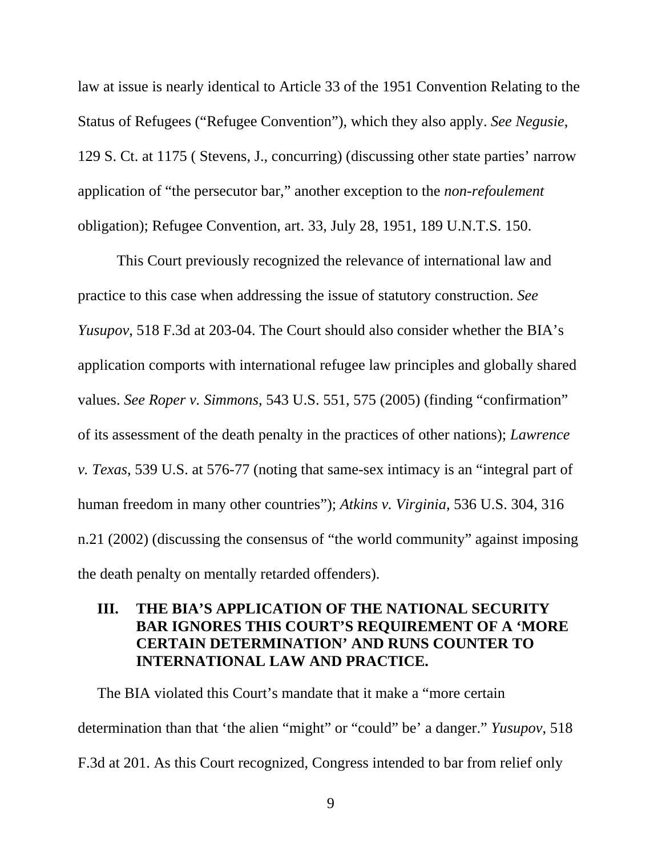law at issue is nearly identical to Article 33 of the 1951 Convention Relating to the Status of Refugees ("Refugee Convention"), which they also apply. *See Negusie*, 129 S. Ct. at 1175 ( Stevens, J., concurring) (discussing other state parties' narrow application of "the persecutor bar," another exception to the *non*-*refoulement* obligation); Refugee Convention, art. 33, July 28, 1951, 189 U.N.T.S. 150.

This Court previously recognized the relevance of international law and practice to this case when addressing the issue of statutory construction. *See Yusupov*, 518 F.3d at 203-04. The Court should also consider whether the BIA's application comports with international refugee law principles and globally shared values. *See Roper v. Simmons*, 543 U.S. 551, 575 (2005) (finding "confirmation" of its assessment of the death penalty in the practices of other nations); *Lawrence v. Texas*, 539 U.S. at 576-77 (noting that same-sex intimacy is an "integral part of human freedom in many other countries"); *Atkins v. Virginia*, 536 U.S. 304, 316 n.21 (2002) (discussing the consensus of "the world community" against imposing the death penalty on mentally retarded offenders).

## <span id="page-17-0"></span>**III. THE BIA'S APPLICATION OF THE NATIONAL SECURITY BAR IGNORES THIS COURT'S REQUIREMENT OF A 'MORE CERTAIN DETERMINATION' AND RUNS COUNTER TO INTERNATIONAL LAW AND PRACTICE.**

The BIA violated this Court's mandate that it make a "more certain determination than that 'the alien "might" or "could" be' a danger." *Yusupov*, 518 F.3d at 201. As this Court recognized, Congress intended to bar from relief only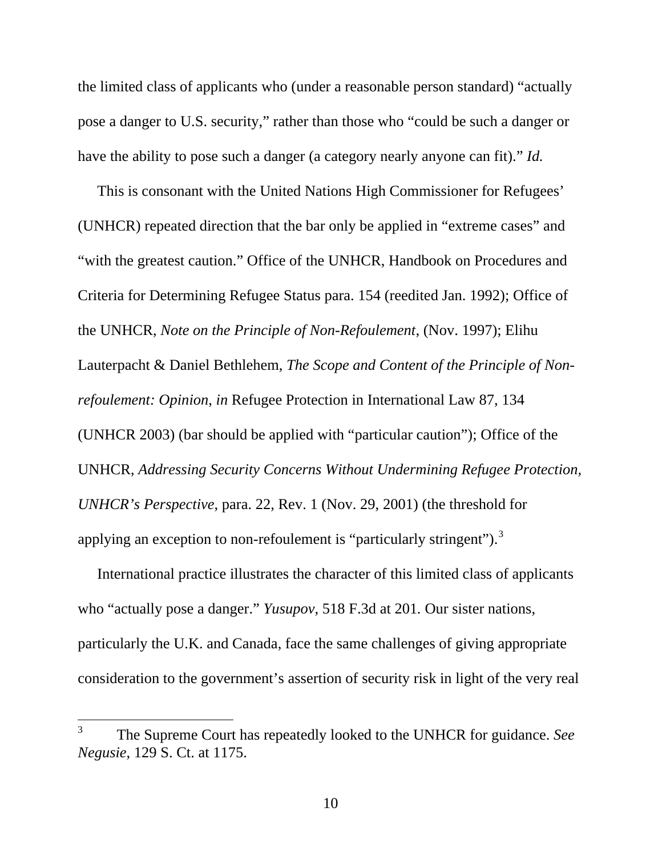the limited class of applicants who (under a reasonable person standard) "actually pose a danger to U.S. security," rather than those who "could be such a danger or have the ability to pose such a danger (a category nearly anyone can fit)." *Id.*

This is consonant with the United Nations High Commissioner for Refugees' (UNHCR) repeated direction that the bar only be applied in "extreme cases" and "with the greatest caution." Office of the UNHCR, Handbook on Procedures and Criteria for Determining Refugee Status para. 154 (reedited Jan. 1992); Office of the UNHCR, *Note on the Principle of Non-Refoulement*, (Nov. 1997); Elihu Lauterpacht & Daniel Bethlehem, *The Scope and Content of the Principle of Nonrefoulement: Opinion*, *in* Refugee Protection in International Law 87, 134 (UNHCR 2003) (bar should be applied with "particular caution"); Office of the UNHCR, *Addressing Security Concerns Without Undermining Refugee Protection, UNHCR's Perspective*, para. 22, Rev. 1 (Nov. 29, 2001) (the threshold for applying an exception to non-refoulement is "particularly stringent").<sup>[3](#page-18-0)</sup>

International practice illustrates the character of this limited class of applicants who "actually pose a danger." *Yusupov*, 518 F.3d at 201*.* Our sister nations, particularly the U.K. and Canada, face the same challenges of giving appropriate consideration to the government's assertion of security risk in light of the very real

<span id="page-18-0"></span><sup>3</sup> The Supreme Court has repeatedly looked to the UNHCR for guidance. *See Negusie*, 129 S. Ct. at 1175.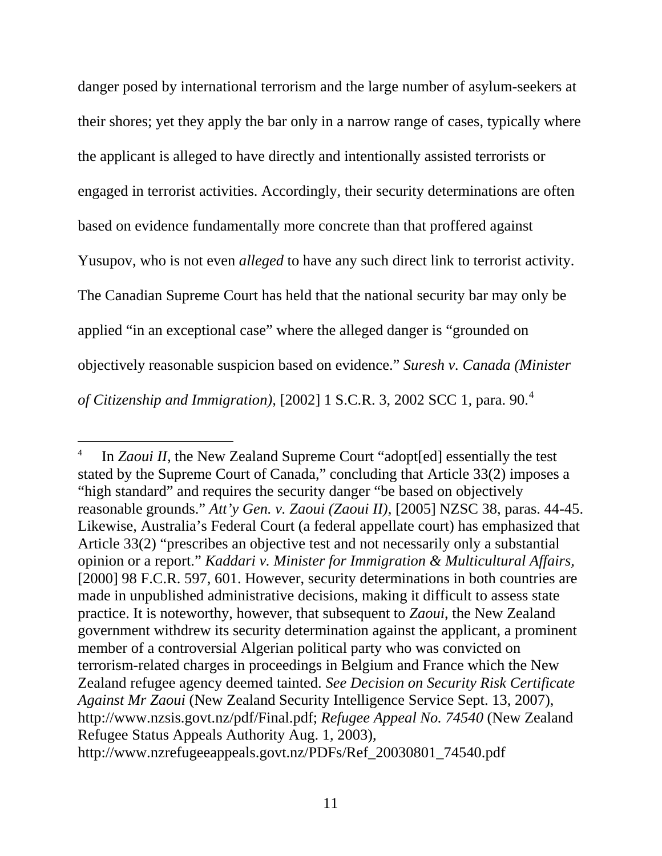danger posed by international terrorism and the large number of asylum-seekers at their shores; yet they apply the bar only in a narrow range of cases, typically where the applicant is alleged to have directly and intentionally assisted terrorists or engaged in terrorist activities. Accordingly, their security determinations are often based on evidence fundamentally more concrete than that proffered against Yusupov, who is not even *alleged* to have any such direct link to terrorist activity. The Canadian Supreme Court has held that the national security bar may only be applied "in an exceptional case" where the alleged danger is "grounded on objectively reasonable suspicion based on evidence." *Suresh v. Canada (Minister of Citizenship and Immigration),* [2002] 1 S.C.R. 3, 2002 SCC 1*,* para. 90.[4](#page-19-0)

<span id="page-19-0"></span><sup>4</sup> In *Zaoui II,* the New Zealand Supreme Court "adopt[ed] essentially the test stated by the Supreme Court of Canada," concluding that Article 33(2) imposes a "high standard" and requires the security danger "be based on objectively reasonable grounds." *Att'y Gen. v. Zaoui (Zaoui II)*, [2005] NZSC 38, paras. 44-45. Likewise, Australia's Federal Court (a federal appellate court) has emphasized that Article 33(2) "prescribes an objective test and not necessarily only a substantial opinion or a report." *Kaddari v. Minister for Immigration & Multicultural Affairs,* [2000] 98 F.C.R. 597, 601. However, security determinations in both countries are made in unpublished administrative decisions, making it difficult to assess state practice. It is noteworthy, however, that subsequent to *Zaoui*, the New Zealand government withdrew its security determination against the applicant, a prominent member of a controversial Algerian political party who was convicted on terrorism-related charges in proceedings in Belgium and France which the New Zealand refugee agency deemed tainted. *See Decision on Security Risk Certificate Against Mr Zaoui* (New Zealand Security Intelligence Service Sept. 13, 2007), http://www.nzsis.govt.nz/pdf/Final.pdf; *Refugee Appeal No. 74540* (New Zealand Refugee Status Appeals Authority Aug. 1, 2003), http://www.nzrefugeeappeals.govt.nz/PDFs/Ref\_20030801\_74540.pdf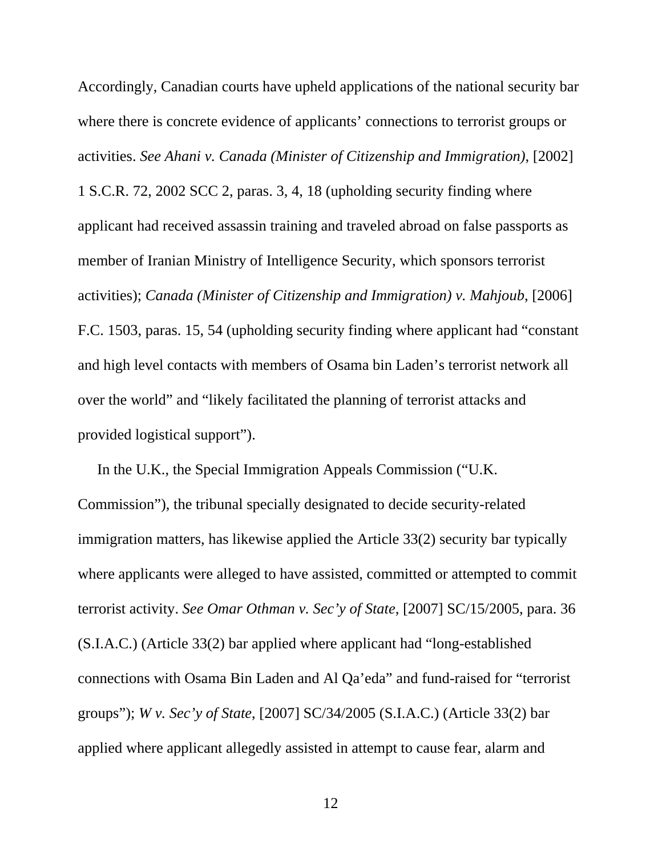Accordingly, Canadian courts have upheld applications of the national security bar where there is concrete evidence of applicants' connections to terrorist groups or activities. *See Ahani v. Canada (Minister of Citizenship and Immigration)*, [2002] 1 S.C.R. 72, 2002 SCC 2, paras. 3, 4, 18 (upholding security finding where applicant had received assassin training and traveled abroad on false passports as member of Iranian Ministry of Intelligence Security, which sponsors terrorist activities); *Canada (Minister of Citizenship and Immigration) v. Mahjoub*, [2006] F.C. 1503, paras. 15, 54 (upholding security finding where applicant had "constant and high level contacts with members of Osama bin Laden's terrorist network all over the world" and "likely facilitated the planning of terrorist attacks and provided logistical support").

In the U.K., the Special Immigration Appeals Commission ("U.K. Commission"), the tribunal specially designated to decide security-related immigration matters, has likewise applied the Article 33(2) security bar typically where applicants were alleged to have assisted, committed or attempted to commit terrorist activity. *See Omar Othman v. Sec'y of State*, [2007] SC/15/2005, para. 36 (S.I.A.C.) (Article 33(2) bar applied where applicant had "long-established connections with Osama Bin Laden and Al Qa'eda" and fund-raised for "terrorist groups"); *W v. Sec'y of State*, [2007] SC/34/2005 (S.I.A.C.) (Article 33(2) bar applied where applicant allegedly assisted in attempt to cause fear, alarm and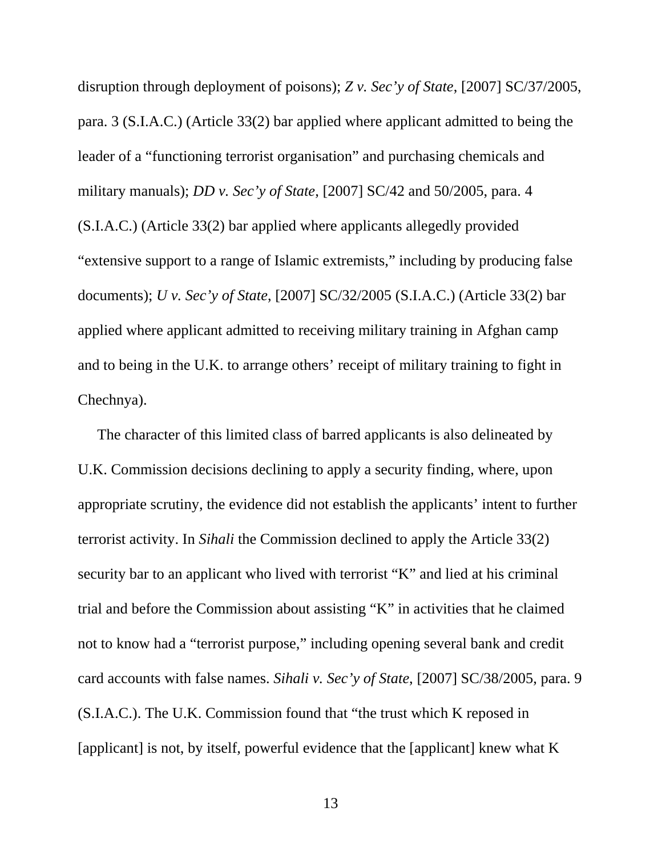disruption through deployment of poisons); *Z v. Sec'y of State*, [2007] SC/37/2005, para. 3 (S.I.A.C.) (Article 33(2) bar applied where applicant admitted to being the leader of a "functioning terrorist organisation" and purchasing chemicals and military manuals); *DD v. Sec'y of State*, [2007] SC/42 and 50/2005, para. 4 (S.I.A.C.) (Article 33(2) bar applied where applicants allegedly provided "extensive support to a range of Islamic extremists," including by producing false documents); *U v. Sec'y of State*, [2007] SC/32/2005 (S.I.A.C.) (Article 33(2) bar applied where applicant admitted to receiving military training in Afghan camp and to being in the U.K. to arrange others' receipt of military training to fight in Chechnya).

The character of this limited class of barred applicants is also delineated by U.K. Commission decisions declining to apply a security finding, where, upon appropriate scrutiny, the evidence did not establish the applicants' intent to further terrorist activity. In *Sihali* the Commission declined to apply the Article 33(2) security bar to an applicant who lived with terrorist "K" and lied at his criminal trial and before the Commission about assisting "K" in activities that he claimed not to know had a "terrorist purpose," including opening several bank and credit card accounts with false names. *Sihali v. Sec'y of State*, [2007] SC/38/2005, para. 9 (S.I.A.C.). The U.K. Commission found that "the trust which K reposed in [applicant] is not, by itself, powerful evidence that the [applicant] knew what K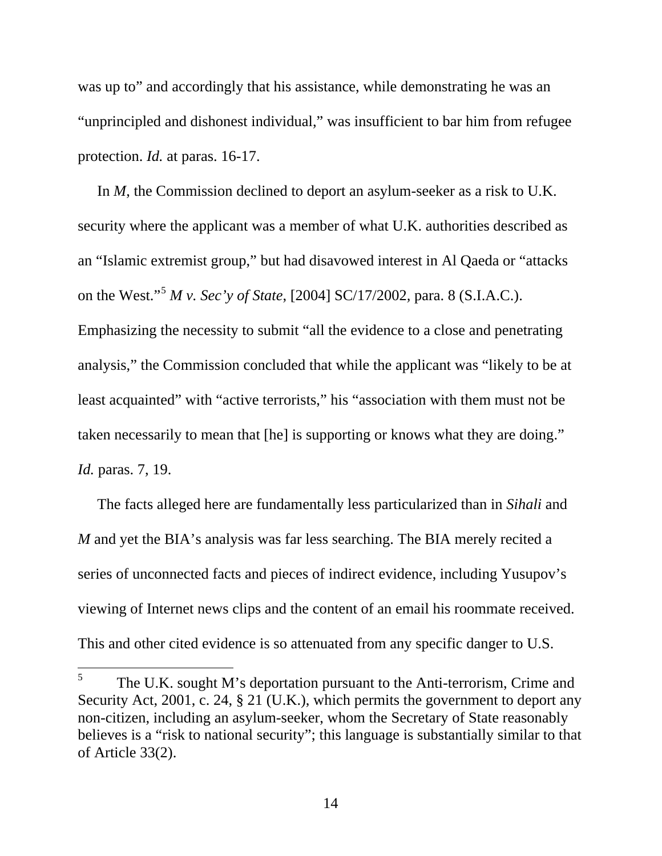was up to" and accordingly that his assistance, while demonstrating he was an "unprincipled and dishonest individual," was insufficient to bar him from refugee protection. *Id.* at paras. 16-17.

In *M*, the Commission declined to deport an asylum-seeker as a risk to U.K. security where the applicant was a member of what U.K. authorities described as an "Islamic extremist group," but had disavowed interest in Al Qaeda or "attacks on the West."[5](#page-22-0) *M v. Sec'y of State*, [2004] SC/17/2002*,* para. 8 (S.I.A.C.). Emphasizing the necessity to submit "all the evidence to a close and penetrating analysis," the Commission concluded that while the applicant was "likely to be at least acquainted" with "active terrorists," his "association with them must not be taken necessarily to mean that [he] is supporting or knows what they are doing." *Id.* paras. 7, 19.

The facts alleged here are fundamentally less particularized than in *Sihali* and *M* and yet the BIA's analysis was far less searching. The BIA merely recited a series of unconnected facts and pieces of indirect evidence, including Yusupov's viewing of Internet news clips and the content of an email his roommate received. This and other cited evidence is so attenuated from any specific danger to U.S.

<span id="page-22-0"></span><sup>5</sup> The U.K. sought M's deportation pursuant to the Anti-terrorism, Crime and Security Act, 2001, c. 24, § 21 (U.K.), which permits the government to deport any non-citizen, including an asylum-seeker, whom the Secretary of State reasonably believes is a "risk to national security"; this language is substantially similar to that of Article 33(2).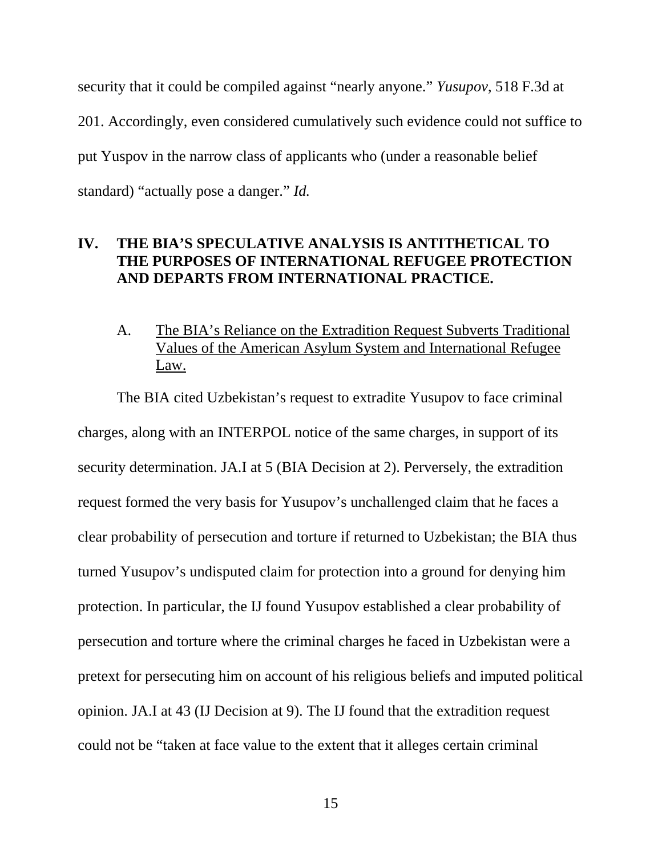security that it could be compiled against "nearly anyone." *Yusupov*, 518 F.3d at 201. Accordingly, even considered cumulatively such evidence could not suffice to put Yuspov in the narrow class of applicants who (under a reasonable belief standard) "actually pose a danger." *Id.*

### <span id="page-23-0"></span>**IV. THE BIA'S SPECULATIVE ANALYSIS IS ANTITHETICAL TO THE PURPOSES OF INTERNATIONAL REFUGEE PROTECTION AND DEPARTS FROM INTERNATIONAL PRACTICE.**

A. The BIA's Reliance on the Extradition Request Subverts Traditional Values of the American Asylum System and International Refugee Law.

<span id="page-23-1"></span>The BIA cited Uzbekistan's request to extradite Yusupov to face criminal charges, along with an INTERPOL notice of the same charges, in support of its security determination. JA.I at 5 (BIA Decision at 2). Perversely, the extradition request formed the very basis for Yusupov's unchallenged claim that he faces a clear probability of persecution and torture if returned to Uzbekistan; the BIA thus turned Yusupov's undisputed claim for protection into a ground for denying him protection. In particular, the IJ found Yusupov established a clear probability of persecution and torture where the criminal charges he faced in Uzbekistan were a pretext for persecuting him on account of his religious beliefs and imputed political opinion. JA.I at 43 (IJ Decision at 9). The IJ found that the extradition request could not be "taken at face value to the extent that it alleges certain criminal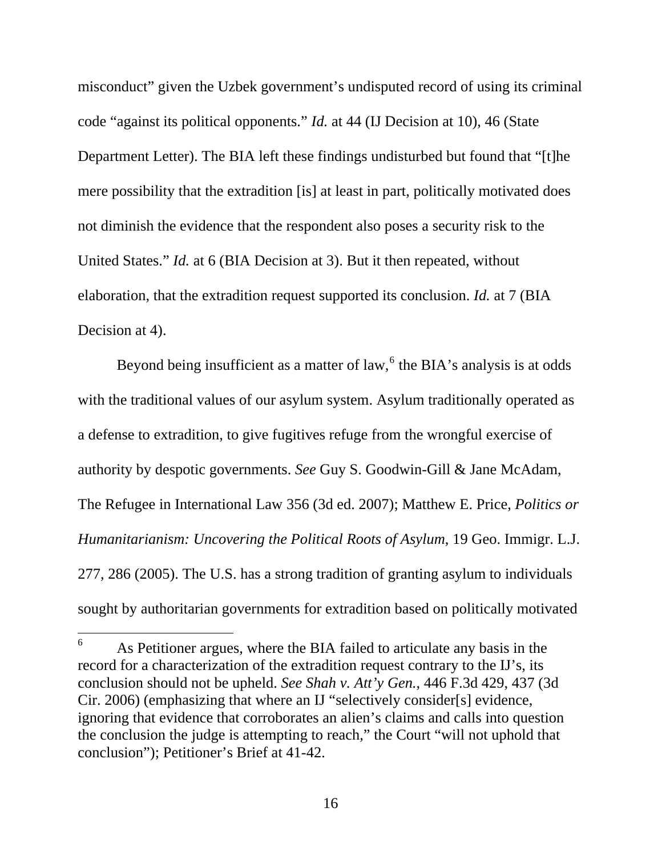misconduct" given the Uzbek government's undisputed record of using its criminal code "against its political opponents." *Id.* at 44 (IJ Decision at 10), 46 (State Department Letter). The BIA left these findings undisturbed but found that "[t]he mere possibility that the extradition [is] at least in part, politically motivated does not diminish the evidence that the respondent also poses a security risk to the United States." *Id.* at 6 (BIA Decision at 3). But it then repeated, without elaboration, that the extradition request supported its conclusion. *Id.* at 7 (BIA Decision at 4).

Beyond being insufficient as a matter of law,  $6$  the BIA's analysis is at odds with the traditional values of our asylum system. Asylum traditionally operated as a defense to extradition, to give fugitives refuge from the wrongful exercise of authority by despotic governments. *See* Guy S. Goodwin-Gill & Jane McAdam, The Refugee in International Law 356 (3d ed. 2007); Matthew E. Price, *Politics or Humanitarianism: Uncovering the Political Roots of Asylum*, 19 Geo. Immigr. L.J. 277, 286 (2005). The U.S. has a strong tradition of granting asylum to individuals sought by authoritarian governments for extradition based on politically motivated

<span id="page-24-0"></span><sup>6</sup> As Petitioner argues, where the BIA failed to articulate any basis in the record for a characterization of the extradition request contrary to the IJ's, its conclusion should not be upheld. *See Shah v. Att'y Gen.*, 446 F.3d 429, 437 (3d Cir. 2006) (emphasizing that where an IJ "selectively consider[s] evidence, ignoring that evidence that corroborates an alien's claims and calls into question the conclusion the judge is attempting to reach," the Court "will not uphold that conclusion"); Petitioner's Brief at 41-42.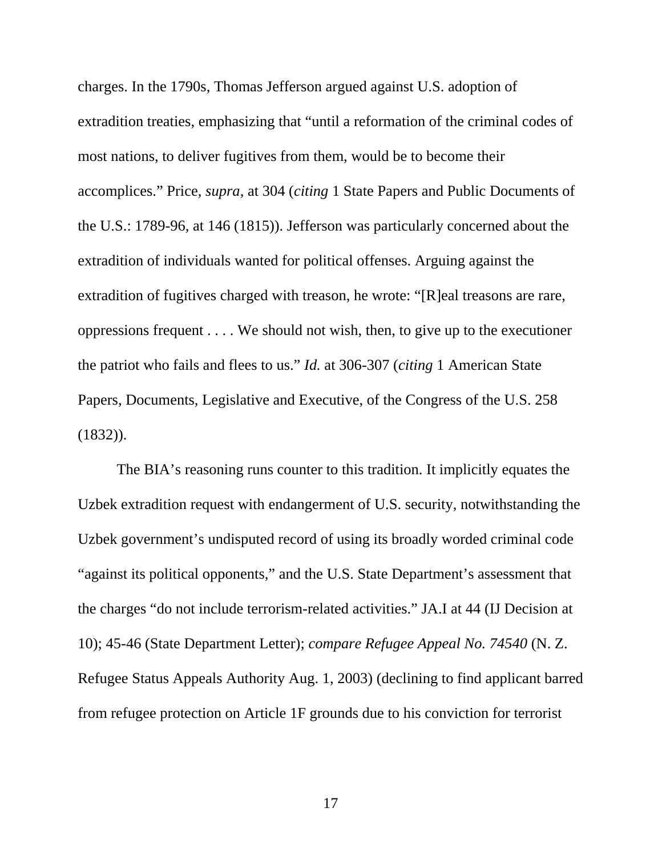charges. In the 1790s, Thomas Jefferson argued against U.S. adoption of extradition treaties, emphasizing that "until a reformation of the criminal codes of most nations, to deliver fugitives from them, would be to become their accomplices." Price, *supra*, at 304 (*citing* 1 State Papers and Public Documents of the U.S.: 1789-96, at 146 (1815)). Jefferson was particularly concerned about the extradition of individuals wanted for political offenses. Arguing against the extradition of fugitives charged with treason, he wrote: "[R]eal treasons are rare, oppressions frequent . . . . We should not wish, then, to give up to the executioner the patriot who fails and flees to us." *Id.* at 306-307 (*citing* 1 American State Papers, Documents, Legislative and Executive, of the Congress of the U.S. 258  $(1832)$ ).

The BIA's reasoning runs counter to this tradition. It implicitly equates the Uzbek extradition request with endangerment of U.S. security, notwithstanding the Uzbek government's undisputed record of using its broadly worded criminal code "against its political opponents," and the U.S. State Department's assessment that the charges "do not include terrorism-related activities." JA.I at 44 (IJ Decision at 10); 45-46 (State Department Letter); *compare Refugee Appeal No. 74540* (N. Z. Refugee Status Appeals Authority Aug. 1, 2003) (declining to find applicant barred from refugee protection on Article 1F grounds due to his conviction for terrorist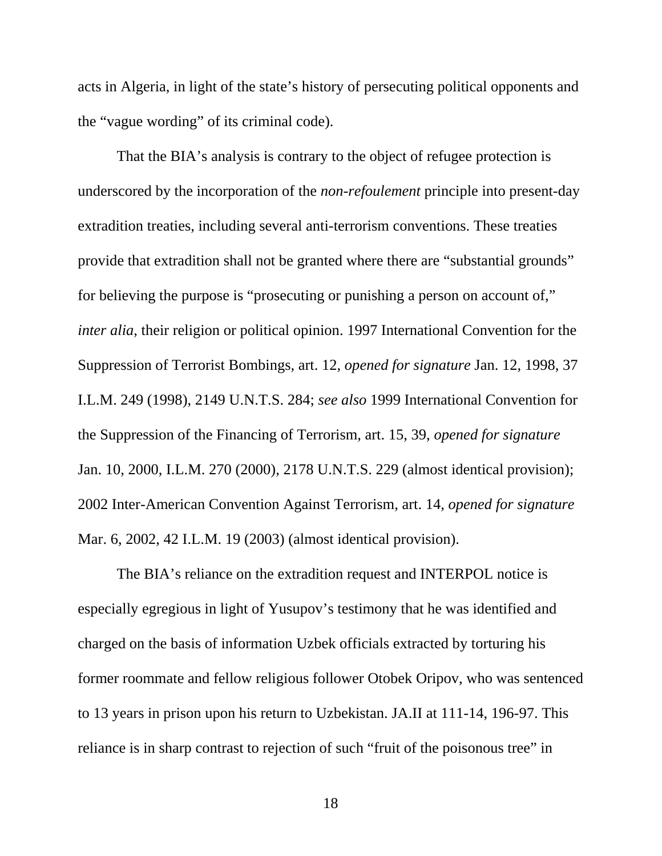acts in Algeria, in light of the state's history of persecuting political opponents and the "vague wording" of its criminal code).

That the BIA's analysis is contrary to the object of refugee protection is underscored by the incorporation of the *non-refoulement* principle into present-day extradition treaties, including several anti-terrorism conventions. These treaties provide that extradition shall not be granted where there are "substantial grounds" for believing the purpose is "prosecuting or punishing a person on account of," *inter alia*, their religion or political opinion. 1997 International Convention for the Suppression of Terrorist Bombings, art. 12, *opened for signature* Jan. 12, 1998, 37 I.L.M. 249 (1998), 2149 U.N.T.S. 284; *see also* 1999 International Convention for the Suppression of the Financing of Terrorism, art. 15, 39, *opened for signature* Jan. 10, 2000, I.L.M. 270 (2000), 2178 U.N.T.S. 229 (almost identical provision); 2002 Inter-American Convention Against Terrorism, art. 14, *opened for signature* Mar. 6, 2002, 42 I.L.M. 19 (2003) (almost identical provision).

The BIA's reliance on the extradition request and INTERPOL notice is especially egregious in light of Yusupov's testimony that he was identified and charged on the basis of information Uzbek officials extracted by torturing his former roommate and fellow religious follower Otobek Oripov, who was sentenced to 13 years in prison upon his return to Uzbekistan. JA.II at 111-14, 196-97. This reliance is in sharp contrast to rejection of such "fruit of the poisonous tree" in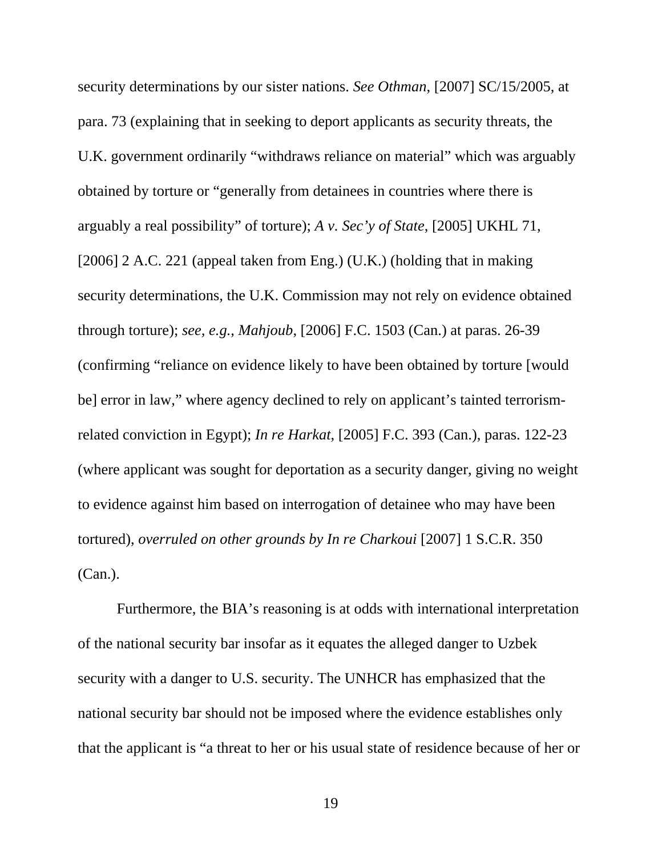security determinations by our sister nations. *See Othman*, [2007] SC/15/2005, at para. 73 (explaining that in seeking to deport applicants as security threats, the U.K. government ordinarily "withdraws reliance on material" which was arguably obtained by torture or "generally from detainees in countries where there is arguably a real possibility" of torture); *A v. Sec'y of State*, [2005] UKHL 71, [2006] 2 A.C. 221 (appeal taken from Eng.) (U.K.) (holding that in making security determinations, the U.K. Commission may not rely on evidence obtained through torture); *see, e.g.*, *Mahjoub*, [2006] F.C. 1503 (Can.) at paras. 26-39 (confirming "reliance on evidence likely to have been obtained by torture [would be] error in law," where agency declined to rely on applicant's tainted terrorismrelated conviction in Egypt); *In re Harkat*, [2005] F.C. 393 (Can.), paras. 122-23 (where applicant was sought for deportation as a security danger, giving no weight to evidence against him based on interrogation of detainee who may have been tortured), *overruled on other grounds by In re Charkoui* [2007] 1 S.C.R. 350 (Can.).

Furthermore, the BIA's reasoning is at odds with international interpretation of the national security bar insofar as it equates the alleged danger to Uzbek security with a danger to U.S. security. The UNHCR has emphasized that the national security bar should not be imposed where the evidence establishes only that the applicant is "a threat to her or his usual state of residence because of her or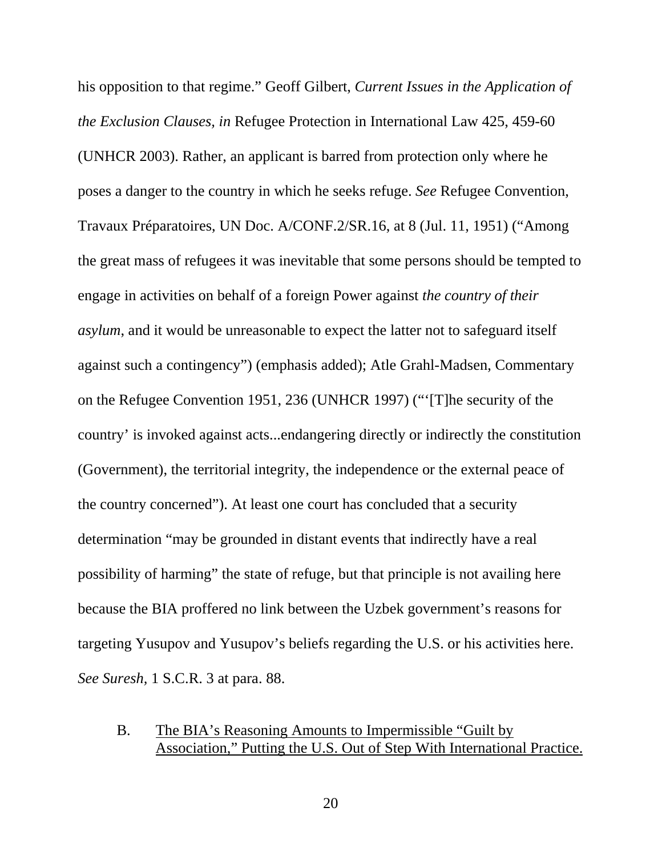his opposition to that regime." Geoff Gilbert, *Current Issues in the Application of the Exclusion Clauses, in* Refugee Protection in International Law 425, 459-60 (UNHCR 2003). Rather, an applicant is barred from protection only where he poses a danger to the country in which he seeks refuge. *See* Refugee Convention, Travaux Préparatoires, UN Doc. A/CONF.2/SR.16, at 8 (Jul. 11, 1951) ("Among the great mass of refugees it was inevitable that some persons should be tempted to engage in activities on behalf of a foreign Power against *the country of their asylum*, and it would be unreasonable to expect the latter not to safeguard itself against such a contingency") (emphasis added); Atle Grahl-Madsen, Commentary on the Refugee Convention 1951, 236 (UNHCR 1997) ("'[T]he security of the country' is invoked against acts...endangering directly or indirectly the constitution (Government), the territorial integrity, the independence or the external peace of the country concerned"). At least one court has concluded that a security determination "may be grounded in distant events that indirectly have a real possibility of harming" the state of refuge, but that principle is not availing here because the BIA proffered no link between the Uzbek government's reasons for targeting Yusupov and Yusupov's beliefs regarding the U.S. or his activities here. *See Suresh,* 1 S.C.R. 3 at para. 88.

### <span id="page-28-0"></span>B. The BIA's Reasoning Amounts to Impermissible "Guilt by Association," Putting the U.S. Out of Step With International Practice.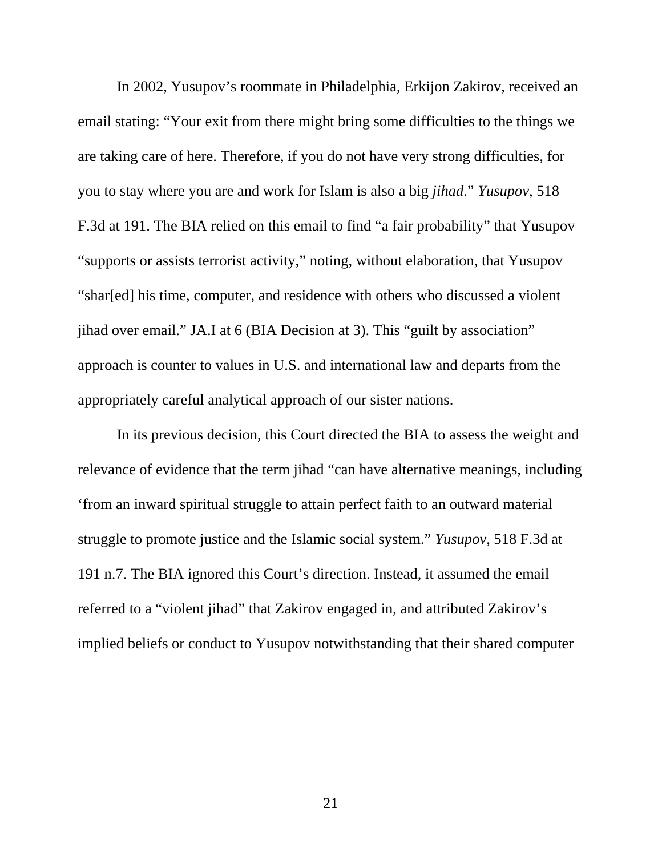In 2002, Yusupov's roommate in Philadelphia, Erkijon Zakirov, received an email stating: "Your exit from there might bring some difficulties to the things we are taking care of here. Therefore, if you do not have very strong difficulties, for you to stay where you are and work for Islam is also a big *jihad*." *Yusupov*, 518 F.3d at 191. The BIA relied on this email to find "a fair probability" that Yusupov "supports or assists terrorist activity," noting, without elaboration, that Yusupov "shar[ed] his time, computer, and residence with others who discussed a violent jihad over email." JA.I at 6 (BIA Decision at 3). This "guilt by association" approach is counter to values in U.S. and international law and departs from the appropriately careful analytical approach of our sister nations.

In its previous decision, this Court directed the BIA to assess the weight and relevance of evidence that the term jihad "can have alternative meanings, including 'from an inward spiritual struggle to attain perfect faith to an outward material struggle to promote justice and the Islamic social system." *Yusupov*, 518 F.3d at 191 n.7. The BIA ignored this Court's direction. Instead, it assumed the email referred to a "violent jihad" that Zakirov engaged in, and attributed Zakirov's implied beliefs or conduct to Yusupov notwithstanding that their shared computer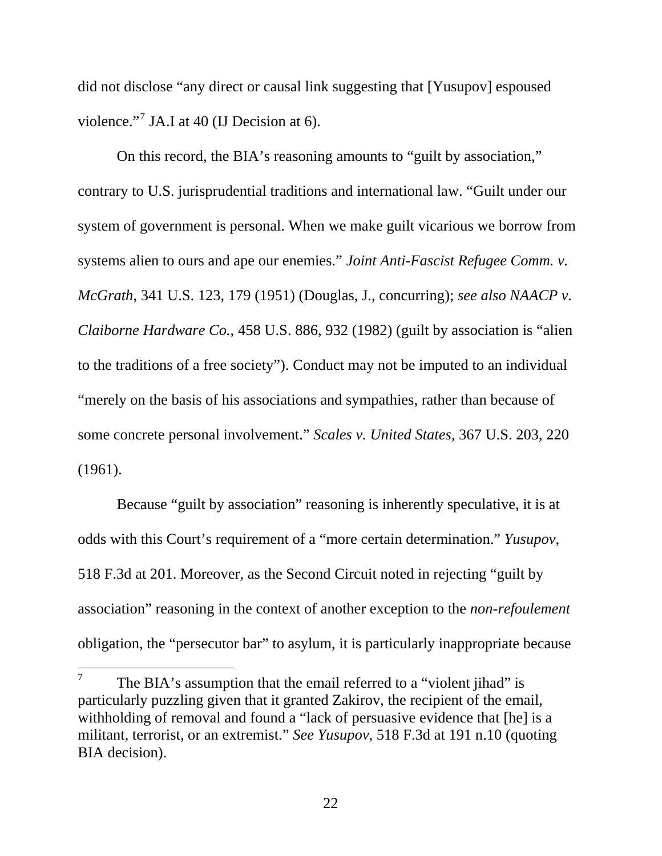did not disclose "any direct or causal link suggesting that [Yusupov] espoused violence."<sup>[7](#page-30-0)</sup> JA.I at 40 (IJ Decision at 6).

On this record, the BIA's reasoning amounts to "guilt by association," contrary to U.S. jurisprudential traditions and international law. "Guilt under our system of government is personal. When we make guilt vicarious we borrow from systems alien to ours and ape our enemies." *Joint Anti-Fascist Refugee Comm. v. McGrath*, 341 U.S. 123, 179 (1951) (Douglas, J., concurring); *see also NAACP v. Claiborne Hardware Co.*, 458 U.S. 886, 932 (1982) (guilt by association is "alien to the traditions of a free society"). Conduct may not be imputed to an individual "merely on the basis of his associations and sympathies, rather than because of some concrete personal involvement." *Scales v. United States,* 367 U.S. 203, 220 (1961).

Because "guilt by association" reasoning is inherently speculative, it is at odds with this Court's requirement of a "more certain determination." *Yusupov*, 518 F.3d at 201. Moreover, as the Second Circuit noted in rejecting "guilt by association" reasoning in the context of another exception to the *non-refoulement* obligation, the "persecutor bar" to asylum, it is particularly inappropriate because

<span id="page-30-0"></span><sup>7</sup> The BIA's assumption that the email referred to a "violent jihad" is particularly puzzling given that it granted Zakirov, the recipient of the email, withholding of removal and found a "lack of persuasive evidence that [he] is a militant, terrorist, or an extremist." *See Yusupov*, 518 F.3d at 191 n.10 (quoting BIA decision).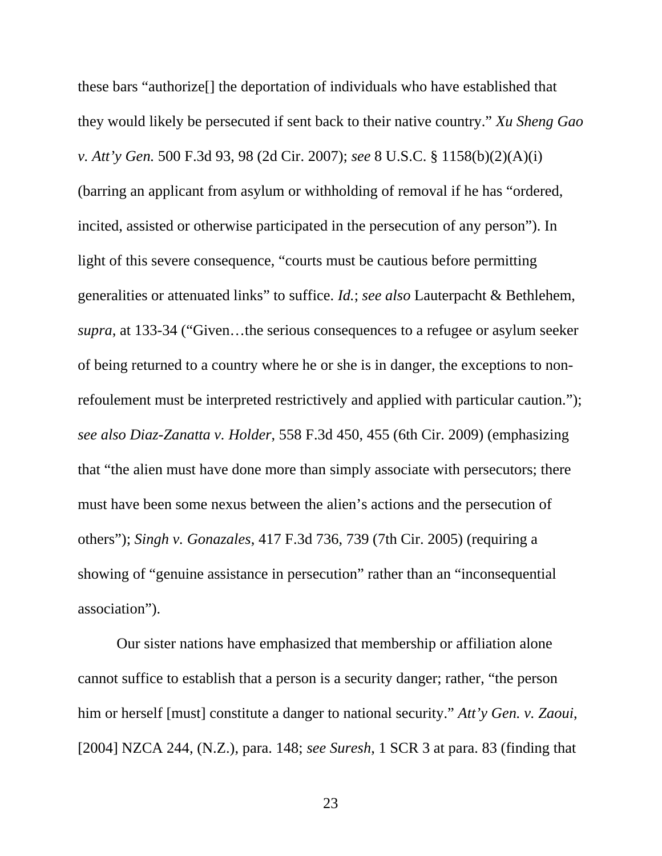these bars "authorize[] the deportation of individuals who have established that they would likely be persecuted if sent back to their native country." *Xu Sheng Gao v. Att'y Gen.* 500 F.3d 93, 98 (2d Cir. 2007); *see* 8 U.S.C. § 1158(b)(2)(A)(i) (barring an applicant from asylum or withholding of removal if he has "ordered, incited, assisted or otherwise participated in the persecution of any person"). In light of this severe consequence, "courts must be cautious before permitting generalities or attenuated links" to suffice. *Id.*; *see also* Lauterpacht & Bethlehem, *supra*, at 133-34 ("Given…the serious consequences to a refugee or asylum seeker of being returned to a country where he or she is in danger, the exceptions to nonrefoulement must be interpreted restrictively and applied with particular caution."); *see also Diaz-Zanatta v. Holder*, 558 F.3d 450, 455 (6th Cir. 2009) (emphasizing that "the alien must have done more than simply associate with persecutors; there must have been some nexus between the alien's actions and the persecution of others"); *Singh v. Gonazales*, 417 F.3d 736, 739 (7th Cir. 2005) (requiring a showing of "genuine assistance in persecution" rather than an "inconsequential association").

Our sister nations have emphasized that membership or affiliation alone cannot suffice to establish that a person is a security danger; rather, "the person him or herself [must] constitute a danger to national security." *Att'y Gen. v. Zaoui*, [2004] NZCA 244, (N.Z.), para. 148; *see Suresh*, 1 SCR 3 at para. 83 (finding that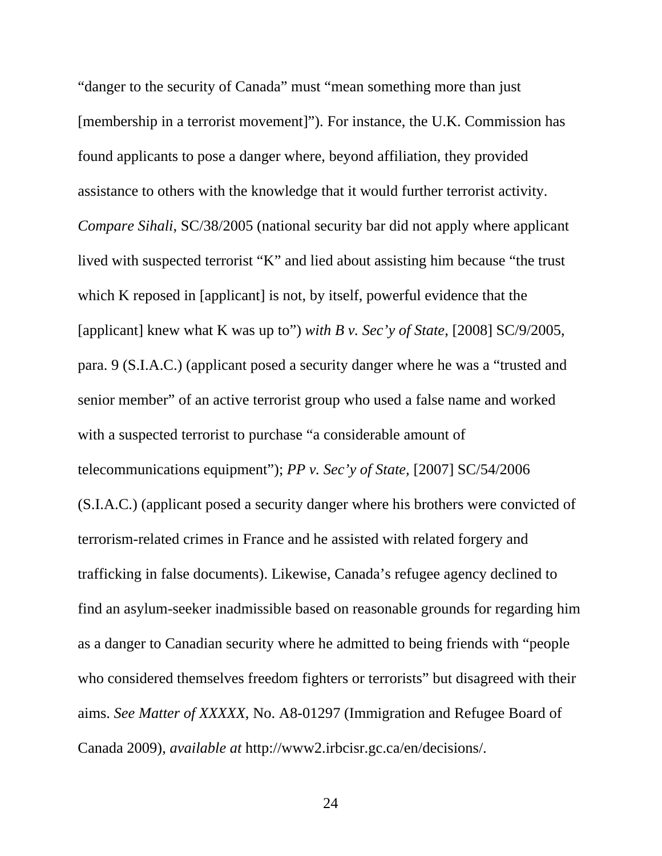"danger to the security of Canada" must "mean something more than just [membership in a terrorist movement]"). For instance, the U.K. Commission has found applicants to pose a danger where, beyond affiliation, they provided assistance to others with the knowledge that it would further terrorist activity. *Compare Sihali*, SC/38/2005 (national security bar did not apply where applicant lived with suspected terrorist "K" and lied about assisting him because "the trust which K reposed in [applicant] is not, by itself, powerful evidence that the [applicant] knew what K was up to") *with B v. Sec'y of State*, [2008] SC/9/2005, para. 9 (S.I.A.C.) (applicant posed a security danger where he was a "trusted and senior member" of an active terrorist group who used a false name and worked with a suspected terrorist to purchase "a considerable amount of telecommunications equipment"); *PP v. Sec'y of State,* [2007] SC/54/2006 (S.I.A.C.) (applicant posed a security danger where his brothers were convicted of terrorism-related crimes in France and he assisted with related forgery and trafficking in false documents). Likewise, Canada's refugee agency declined to find an asylum-seeker inadmissible based on reasonable grounds for regarding him as a danger to Canadian security where he admitted to being friends with "people who considered themselves freedom fighters or terrorists" but disagreed with their aims. *See Matter of XXXXX*, No. A8-01297 (Immigration and Refugee Board of Canada 2009), *available at* [http://www2.irbcisr.gc.ca/en/decisions/.](http://www2.irbcisr.gc.ca/en/decisions/)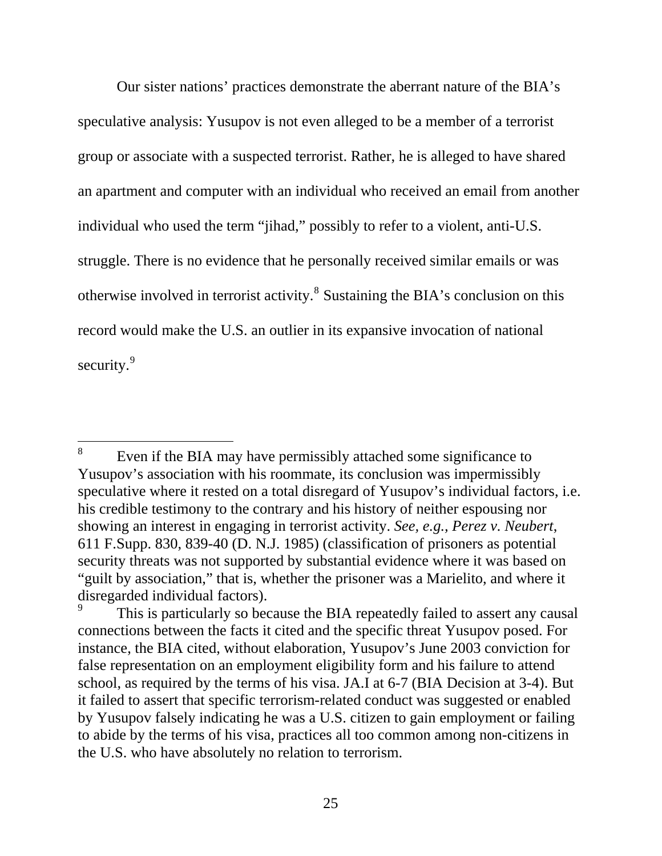Our sister nations' practices demonstrate the aberrant nature of the BIA's speculative analysis: Yusupov is not even alleged to be a member of a terrorist group or associate with a suspected terrorist. Rather, he is alleged to have shared an apartment and computer with an individual who received an email from another individual who used the term "jihad," possibly to refer to a violent, anti-U.S. struggle. There is no evidence that he personally received similar emails or was otherwise involved in terrorist activity.<sup>[8](#page-33-0)</sup> Sustaining the BIA's conclusion on this record would make the U.S. an outlier in its expansive invocation of national security.<sup>[9](#page-33-1)</sup>

<span id="page-33-0"></span><sup>8</sup> Even if the BIA may have permissibly attached some significance to Yusupov's association with his roommate, its conclusion was impermissibly speculative where it rested on a total disregard of Yusupov's individual factors, i.e. his credible testimony to the contrary and his history of neither espousing nor showing an interest in engaging in terrorist activity. *See, e.g., Perez v. Neubert*, 611 F.Supp. 830, 839-40 (D. N.J. 1985) (classification of prisoners as potential security threats was not supported by substantial evidence where it was based on "guilt by association," that is, whether the prisoner was a Marielito, and where it disregarded individual factors).

<span id="page-33-1"></span><sup>9</sup> This is particularly so because the BIA repeatedly failed to assert any causal connections between the facts it cited and the specific threat Yusupov posed. For instance, the BIA cited, without elaboration, Yusupov's June 2003 conviction for false representation on an employment eligibility form and his failure to attend school, as required by the terms of his visa. JA.I at 6-7 (BIA Decision at 3-4). But it failed to assert that specific terrorism-related conduct was suggested or enabled by Yusupov falsely indicating he was a U.S. citizen to gain employment or failing to abide by the terms of his visa, practices all too common among non-citizens in the U.S. who have absolutely no relation to terrorism.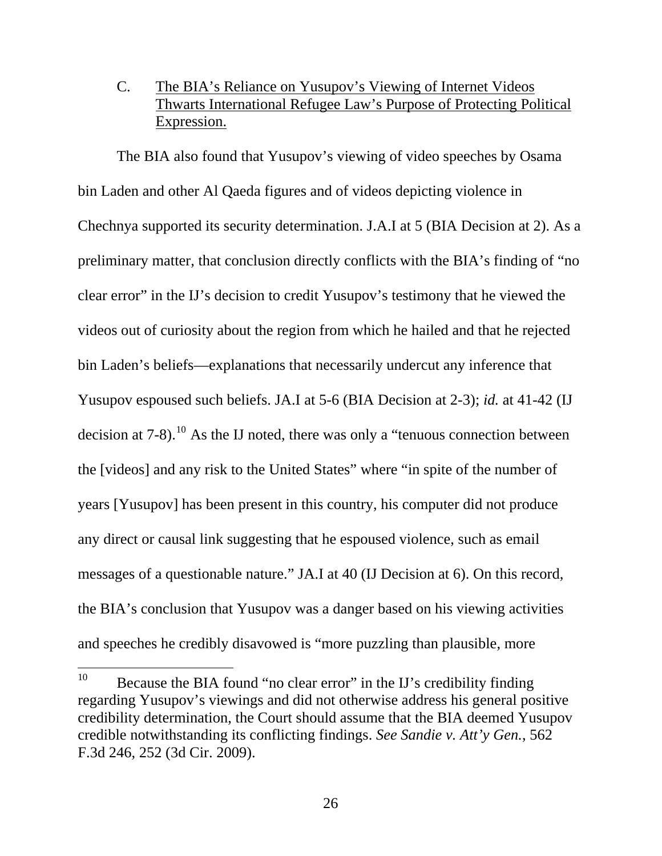## C. The BIA's Reliance on Yusupov's Viewing of Internet Videos Thwarts International Refugee Law's Purpose of Protecting Political Expression.

<span id="page-34-0"></span>The BIA also found that Yusupov's viewing of video speeches by Osama bin Laden and other Al Qaeda figures and of videos depicting violence in Chechnya supported its security determination. J.A.I at 5 (BIA Decision at 2). As a preliminary matter, that conclusion directly conflicts with the BIA's finding of "no clear error" in the IJ's decision to credit Yusupov's testimony that he viewed the videos out of curiosity about the region from which he hailed and that he rejected bin Laden's beliefs—explanations that necessarily undercut any inference that Yusupov espoused such beliefs. JA.I at 5-6 (BIA Decision at 2-3); *id.* at 41-42 (IJ decision at  $7-8$ ).<sup>[10](#page-34-1)</sup> As the IJ noted, there was only a "tenuous connection between the [videos] and any risk to the United States" where "in spite of the number of years [Yusupov] has been present in this country, his computer did not produce any direct or causal link suggesting that he espoused violence, such as email messages of a questionable nature." JA.I at 40 (IJ Decision at 6). On this record, the BIA's conclusion that Yusupov was a danger based on his viewing activities and speeches he credibly disavowed is "more puzzling than plausible, more

<span id="page-34-1"></span><sup>10</sup> 10 Because the BIA found "no clear error" in the IJ's credibility finding regarding Yusupov's viewings and did not otherwise address his general positive credibility determination, the Court should assume that the BIA deemed Yusupov credible notwithstanding its conflicting findings. *See Sandie v. Att'y Gen.*, 562 F.3d 246, 252 (3d Cir. 2009).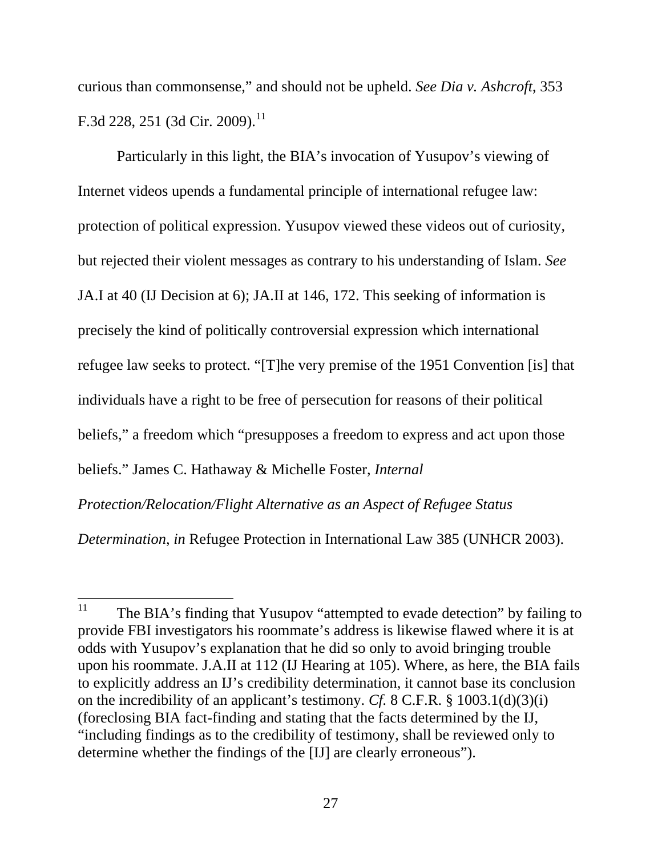curious than commonsense," and should not be upheld. *See Dia v. Ashcroft*, 353 F.3d 228, 251 (3d Cir. 2009).<sup>[11](#page-35-0)</sup>

Particularly in this light, the BIA's invocation of Yusupov's viewing of Internet videos upends a fundamental principle of international refugee law: protection of political expression. Yusupov viewed these videos out of curiosity, but rejected their violent messages as contrary to his understanding of Islam. *See* JA.I at 40 (IJ Decision at 6); JA.II at 146, 172. This seeking of information is precisely the kind of politically controversial expression which international refugee law seeks to protect. "[T]he very premise of the 1951 Convention [is] that individuals have a right to be free of persecution for reasons of their political beliefs," a freedom which "presupposes a freedom to express and act upon those beliefs." James C. Hathaway & Michelle Foster, *Internal* 

*Protection/Relocation/Flight Alternative as an Aspect of Refugee Status* 

*Determination*, *in* Refugee Protection in International Law 385 (UNHCR 2003).

<span id="page-35-0"></span><sup>11</sup> The BIA's finding that Yusupov "attempted to evade detection" by failing to provide FBI investigators his roommate's address is likewise flawed where it is at odds with Yusupov's explanation that he did so only to avoid bringing trouble upon his roommate. J.A.II at 112 (IJ Hearing at 105). Where, as here, the BIA fails to explicitly address an IJ's credibility determination, it cannot base its conclusion on the incredibility of an applicant's testimony. *Cf.* 8 C.F.R. § 1003.1(d)(3)(i) (foreclosing BIA fact-finding and stating that the facts determined by the IJ, "including findings as to the credibility of testimony, shall be reviewed only to determine whether the findings of the [IJ] are clearly erroneous").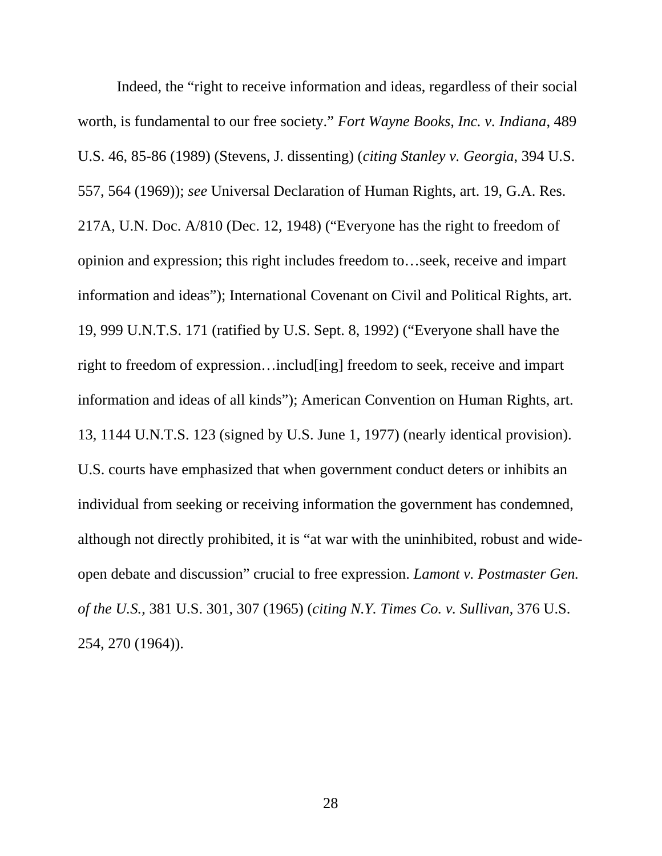Indeed, the "right to receive information and ideas, regardless of their social worth, is fundamental to our free society." *Fort Wayne Books, Inc. v. Indiana*, 489 U.S. 46, 85-86 (1989) (Stevens, J. dissenting) (*citing Stanley v. Georgia*, 394 U.S. 557, 564 (1969)); *see* Universal Declaration of Human Rights, art. 19, G.A. Res. 217A, U.N. Doc. A/810 (Dec. 12, 1948) ("Everyone has the right to freedom of opinion and expression; this right includes freedom to…seek, receive and impart information and ideas"); International Covenant on Civil and Political Rights, art. 19, 999 U.N.T.S. 171 (ratified by U.S. Sept. 8, 1992) ("Everyone shall have the right to freedom of expression…includ[ing] freedom to seek, receive and impart information and ideas of all kinds"); American Convention on Human Rights, art. 13, 1144 U.N.T.S. 123 (signed by U.S. June 1, 1977) (nearly identical provision). U.S. courts have emphasized that when government conduct deters or inhibits an individual from seeking or receiving information the government has condemned, although not directly prohibited, it is "at war with the uninhibited, robust and wideopen debate and discussion" crucial to free expression. *Lamont v. Postmaster Gen. of the U.S.*, 381 U.S. 301, 307 (1965) (*citing N.Y. Times Co. v. Sullivan*, 376 U.S. 254, 270 (1964)).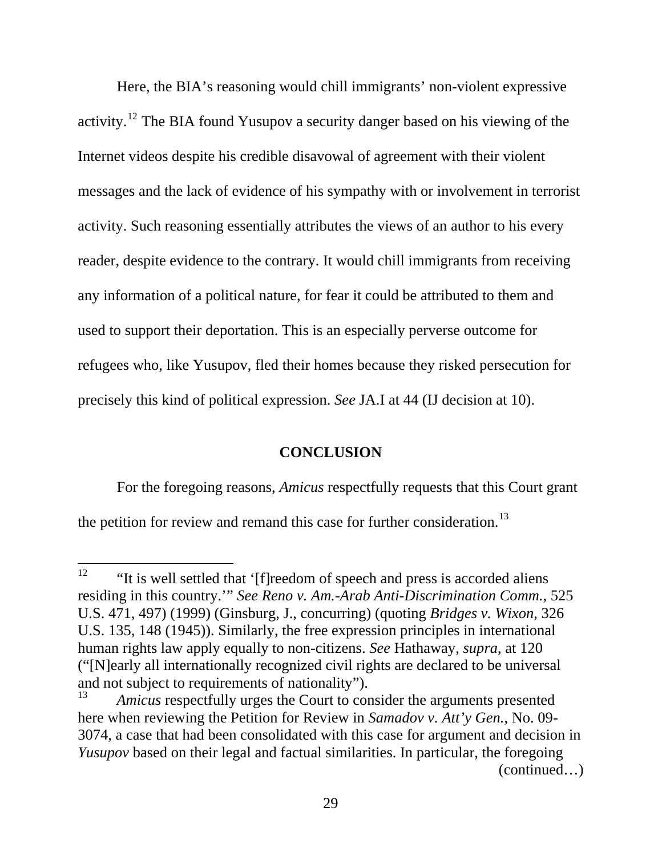Here, the BIA's reasoning would chill immigrants' non-violent expressive activity.[12](#page-37-1) The BIA found Yusupov a security danger based on his viewing of the Internet videos despite his credible disavowal of agreement with their violent messages and the lack of evidence of his sympathy with or involvement in terrorist activity. Such reasoning essentially attributes the views of an author to his every reader, despite evidence to the contrary. It would chill immigrants from receiving any information of a political nature, for fear it could be attributed to them and used to support their deportation. This is an especially perverse outcome for refugees who, like Yusupov, fled their homes because they risked persecution for precisely this kind of political expression. *See* JA.I at 44 (IJ decision at 10).

#### **CONCLUSION**

For the foregoing reasons, *Amicus* respectfully requests that this Court grant

<span id="page-37-0"></span>the petition for review and remand this case for further consideration.<sup>[13](#page-37-2)</sup>

<span id="page-37-1"></span><sup>12</sup> "It is well settled that '[f]reedom of speech and press is accorded aliens residing in this country.'" *See Reno v. Am.-Arab Anti-Discrimination Comm.*, 525 U.S. 471, 497) (1999) (Ginsburg, J., concurring) (quoting *Bridges v. Wixon*, 326 U.S. 135, 148 (1945)). Similarly, the free expression principles in international human rights law apply equally to non-citizens. *See* Hathaway, *supra*, at 120 ("[N]early all internationally recognized civil rights are declared to be universal and not subject to requirements of nationality").

<span id="page-37-2"></span><sup>(</sup>continued…) Amicus respectfully urges the Court to consider the arguments presented here when reviewing the Petition for Review in *Samadov v. Att'y Gen.*, No. 09- 3074, a case that had been consolidated with this case for argument and decision in *Yusupov* based on their legal and factual similarities. In particular, the foregoing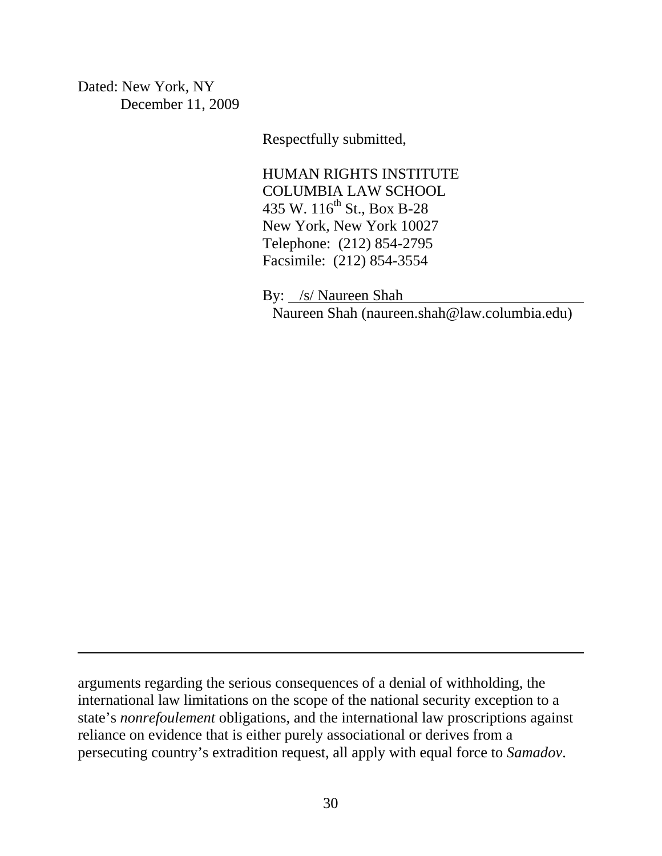Dated: New York, NY December 11, 2009

 $\overline{a}$ 

Respectfully submitted,

HUMAN RIGHTS INSTITUTE COLUMBIA LAW SCHOOL 435 W. 116<sup>th</sup> St., Box B-28 New York, New York 10027 Telephone: (212) 854-2795 Facsimile: (212) 854-3554

 By: /s/ Naureen Shah Naureen Shah (naureen.shah@law.columbia.edu)

arguments regarding the serious consequences of a denial of withholding, the international law limitations on the scope of the national security exception to a state's *nonrefoulement* obligations, and the international law proscriptions against reliance on evidence that is either purely associational or derives from a persecuting country's extradition request, all apply with equal force to *Samadov*.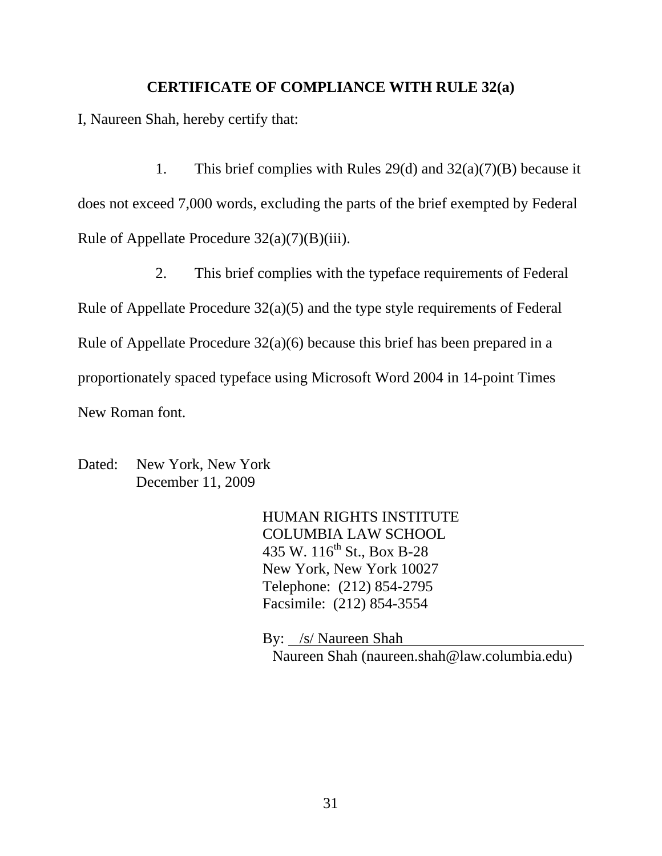#### **CERTIFICATE OF COMPLIANCE WITH RULE 32(a)**

I, Naureen Shah, hereby certify that:

1. This brief complies with Rules 29(d) and  $32(a)(7)(B)$  because it does not exceed 7,000 words, excluding the parts of the brief exempted by Federal Rule of Appellate Procedure  $32(a)(7)(B)(iii)$ .

2. This brief complies with the typeface requirements of Federal Rule of Appellate Procedure 32(a)(5) and the type style requirements of Federal Rule of Appellate Procedure 32(a)(6) because this brief has been prepared in a proportionately spaced typeface using Microsoft Word 2004 in 14-point Times New Roman font.

Dated: New York, New York December 11, 2009

> HUMAN RIGHTS INSTITUTE COLUMBIA LAW SCHOOL 435 W. 116<sup>th</sup> St., Box B-28 New York, New York 10027 Telephone: (212) 854-2795 Facsimile: (212) 854-3554

 By: /s/ Naureen Shah Naureen Shah (naureen.shah@law.columbia.edu)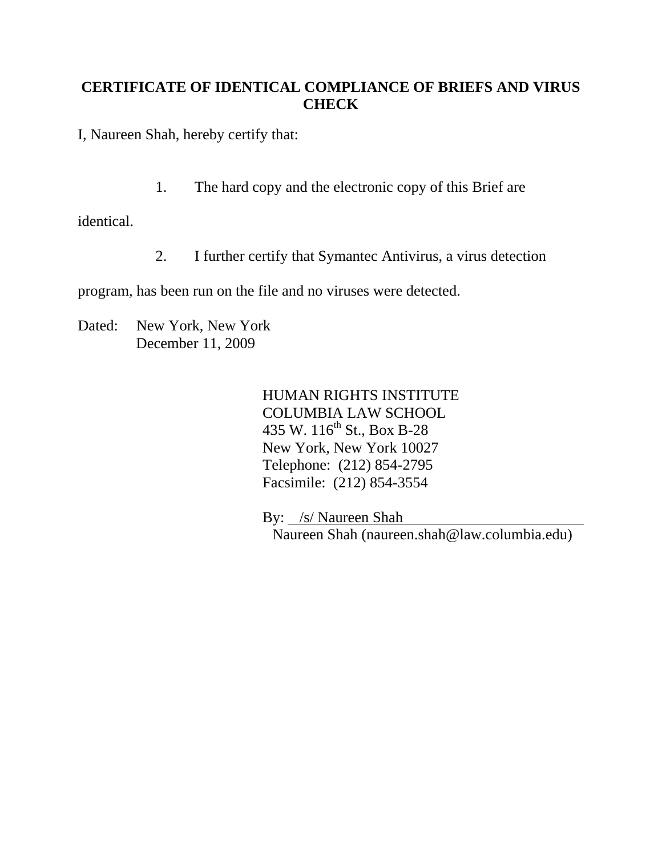# **CERTIFICATE OF IDENTICAL COMPLIANCE OF BRIEFS AND VIRUS CHECK**

I, Naureen Shah, hereby certify that:

1. The hard copy and the electronic copy of this Brief are

identical.

2. I further certify that Symantec Antivirus, a virus detection

program, has been run on the file and no viruses were detected.

Dated: New York, New York December 11, 2009

> HUMAN RIGHTS INSTITUTE COLUMBIA LAW SCHOOL 435 W. 116<sup>th</sup> St., Box B-28 New York, New York 10027 Telephone: (212) 854-2795 Facsimile: (212) 854-3554

 By: /s/ Naureen Shah Naureen Shah (naureen.shah@law.columbia.edu)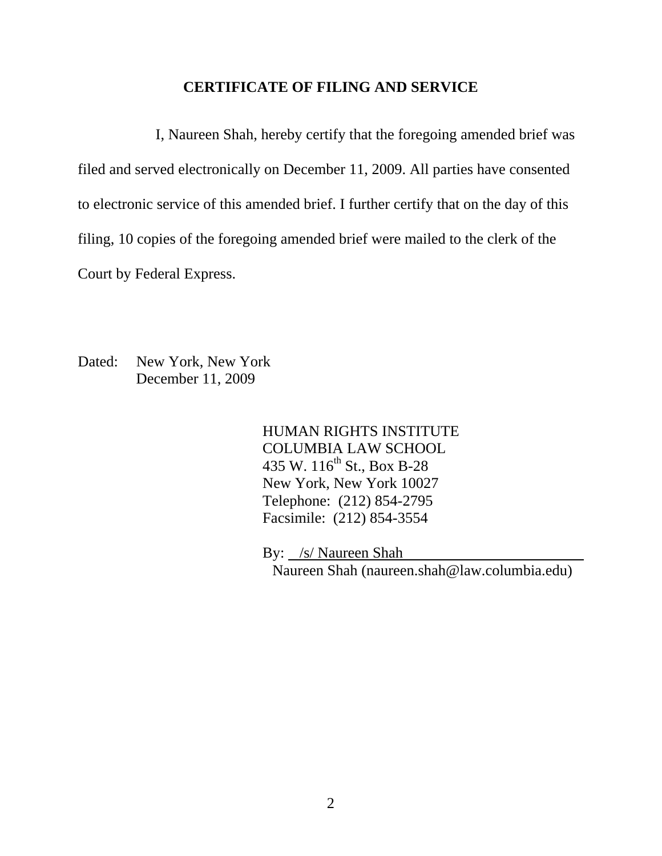#### **CERTIFICATE OF FILING AND SERVICE**

I, Naureen Shah, hereby certify that the foregoing amended brief was filed and served electronically on December 11, 2009. All parties have consented to electronic service of this amended brief. I further certify that on the day of this filing, 10 copies of the foregoing amended brief were mailed to the clerk of the Court by Federal Express.

Dated: New York, New York December 11, 2009

> HUMAN RIGHTS INSTITUTE COLUMBIA LAW SCHOOL 435 W.  $116^{th}$  St., Box B-28 New York, New York 10027 Telephone: (212) 854-2795 Facsimile: (212) 854-3554

By: /s/ Naureen Shah

Naureen Shah (naureen.shah@law.columbia.edu)